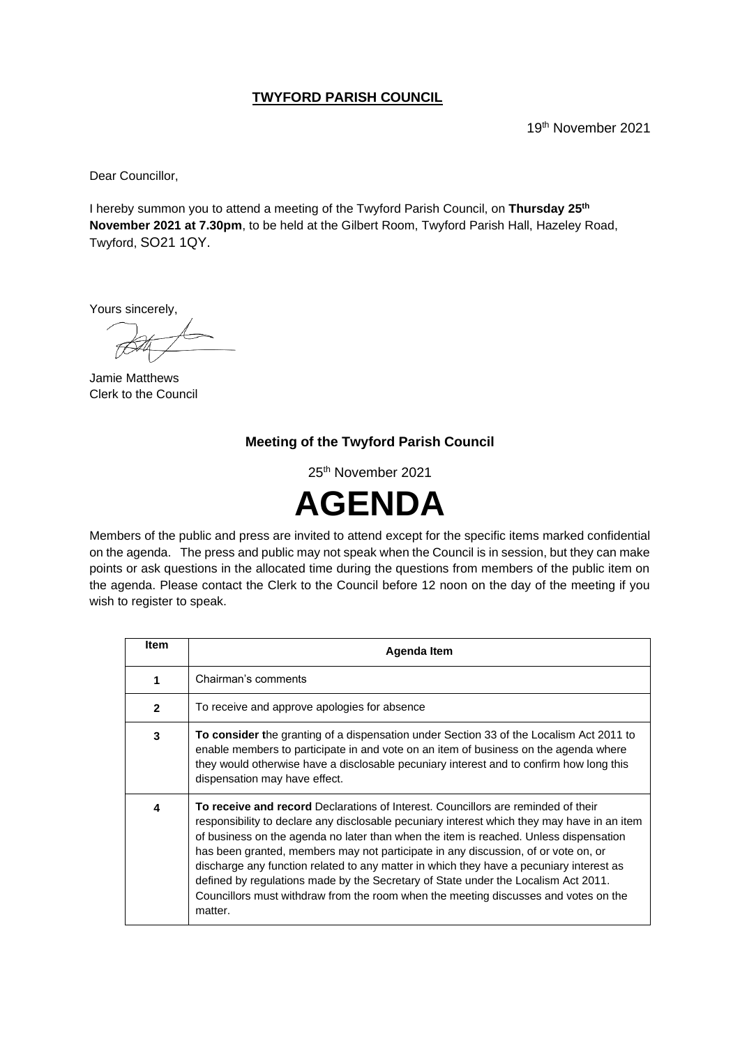#### **TWYFORD PARISH COUNCIL**

19th November 2021

Dear Councillor,

I hereby summon you to attend a meeting of the Twyford Parish Council, on **Thursday 25 th November 2021 at 7.30pm**, to be held at the Gilbert Room, Twyford Parish Hall, Hazeley Road, Twyford, SO21 1QY.

Yours sincerely,

Jamie Matthews Clerk to the Council

#### **Meeting of the Twyford Parish Council**

25th November 2021



Members of the public and press are invited to attend except for the specific items marked confidential on the agenda. The press and public may not speak when the Council is in session, but they can make points or ask questions in the allocated time during the questions from members of the public item on the agenda. Please contact the Clerk to the Council before 12 noon on the day of the meeting if you wish to register to speak.

| <b>Item</b>    | Agenda Item                                                                                                                                                                                                                                                                                                                                                                                                                                                                                                                                                                                                                                               |
|----------------|-----------------------------------------------------------------------------------------------------------------------------------------------------------------------------------------------------------------------------------------------------------------------------------------------------------------------------------------------------------------------------------------------------------------------------------------------------------------------------------------------------------------------------------------------------------------------------------------------------------------------------------------------------------|
| 1              | Chairman's comments                                                                                                                                                                                                                                                                                                                                                                                                                                                                                                                                                                                                                                       |
| $\overline{2}$ | To receive and approve apologies for absence                                                                                                                                                                                                                                                                                                                                                                                                                                                                                                                                                                                                              |
| 3              | <b>To consider the granting of a dispensation under Section 33 of the Localism Act 2011 to</b><br>enable members to participate in and vote on an item of business on the agenda where<br>they would otherwise have a disclosable pecuniary interest and to confirm how long this<br>dispensation may have effect.                                                                                                                                                                                                                                                                                                                                        |
| 4              | <b>To receive and record</b> Declarations of Interest. Councillors are reminded of their<br>responsibility to declare any disclosable pecuniary interest which they may have in an item<br>of business on the agenda no later than when the item is reached. Unless dispensation<br>has been granted, members may not participate in any discussion, of or vote on, or<br>discharge any function related to any matter in which they have a pecuniary interest as<br>defined by regulations made by the Secretary of State under the Localism Act 2011.<br>Councillors must withdraw from the room when the meeting discusses and votes on the<br>matter. |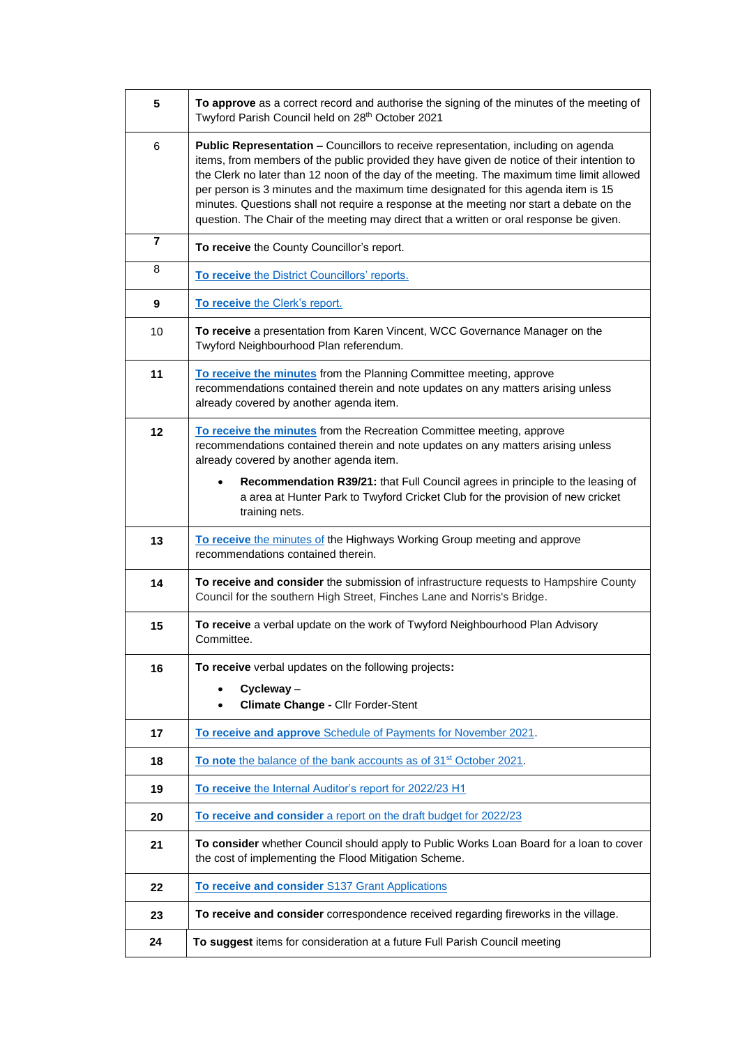| 5  | To approve as a correct record and authorise the signing of the minutes of the meeting of<br>Twyford Parish Council held on 28th October 2021                                                                                                                                                                                                                                                                                                                                                                                                              |
|----|------------------------------------------------------------------------------------------------------------------------------------------------------------------------------------------------------------------------------------------------------------------------------------------------------------------------------------------------------------------------------------------------------------------------------------------------------------------------------------------------------------------------------------------------------------|
| 6  | Public Representation - Councillors to receive representation, including on agenda<br>items, from members of the public provided they have given de notice of their intention to<br>the Clerk no later than 12 noon of the day of the meeting. The maximum time limit allowed<br>per person is 3 minutes and the maximum time designated for this agenda item is 15<br>minutes. Questions shall not require a response at the meeting nor start a debate on the<br>question. The Chair of the meeting may direct that a written or oral response be given. |
| 7  | To receive the County Councillor's report.                                                                                                                                                                                                                                                                                                                                                                                                                                                                                                                 |
| 8  | To receive the District Councillors' reports.                                                                                                                                                                                                                                                                                                                                                                                                                                                                                                              |
| 9  | To receive the Clerk's report.                                                                                                                                                                                                                                                                                                                                                                                                                                                                                                                             |
| 10 | To receive a presentation from Karen Vincent, WCC Governance Manager on the<br>Twyford Neighbourhood Plan referendum.                                                                                                                                                                                                                                                                                                                                                                                                                                      |
| 11 | To receive the minutes from the Planning Committee meeting, approve<br>recommendations contained therein and note updates on any matters arising unless<br>already covered by another agenda item.                                                                                                                                                                                                                                                                                                                                                         |
| 12 | To receive the minutes from the Recreation Committee meeting, approve<br>recommendations contained therein and note updates on any matters arising unless<br>already covered by another agenda item.                                                                                                                                                                                                                                                                                                                                                       |
|    | Recommendation R39/21: that Full Council agrees in principle to the leasing of<br>$\bullet$<br>a area at Hunter Park to Twyford Cricket Club for the provision of new cricket<br>training nets.                                                                                                                                                                                                                                                                                                                                                            |
| 13 | To receive the minutes of the Highways Working Group meeting and approve<br>recommendations contained therein.                                                                                                                                                                                                                                                                                                                                                                                                                                             |
| 14 | To receive and consider the submission of infrastructure requests to Hampshire County<br>Council for the southern High Street, Finches Lane and Norris's Bridge.                                                                                                                                                                                                                                                                                                                                                                                           |
| 15 | To receive a verbal update on the work of Twyford Neighbourhood Plan Advisory<br>Committee.                                                                                                                                                                                                                                                                                                                                                                                                                                                                |
| 16 | To receive verbal updates on the following projects:                                                                                                                                                                                                                                                                                                                                                                                                                                                                                                       |
|    | $Cycleway -$<br>Climate Change - Cllr Forder-Stent                                                                                                                                                                                                                                                                                                                                                                                                                                                                                                         |
| 17 | To receive and approve Schedule of Payments for November 2021.                                                                                                                                                                                                                                                                                                                                                                                                                                                                                             |
| 18 | To note the balance of the bank accounts as of 31 <sup>st</sup> October 2021.                                                                                                                                                                                                                                                                                                                                                                                                                                                                              |
| 19 | To receive the Internal Auditor's report for 2022/23 H1                                                                                                                                                                                                                                                                                                                                                                                                                                                                                                    |
| 20 | To receive and consider a report on the draft budget for 2022/23                                                                                                                                                                                                                                                                                                                                                                                                                                                                                           |
| 21 | To consider whether Council should apply to Public Works Loan Board for a loan to cover<br>the cost of implementing the Flood Mitigation Scheme.                                                                                                                                                                                                                                                                                                                                                                                                           |
| 22 | To receive and consider S137 Grant Applications                                                                                                                                                                                                                                                                                                                                                                                                                                                                                                            |
| 23 | To receive and consider correspondence received regarding fireworks in the village.                                                                                                                                                                                                                                                                                                                                                                                                                                                                        |
| 24 | To suggest items for consideration at a future Full Parish Council meeting                                                                                                                                                                                                                                                                                                                                                                                                                                                                                 |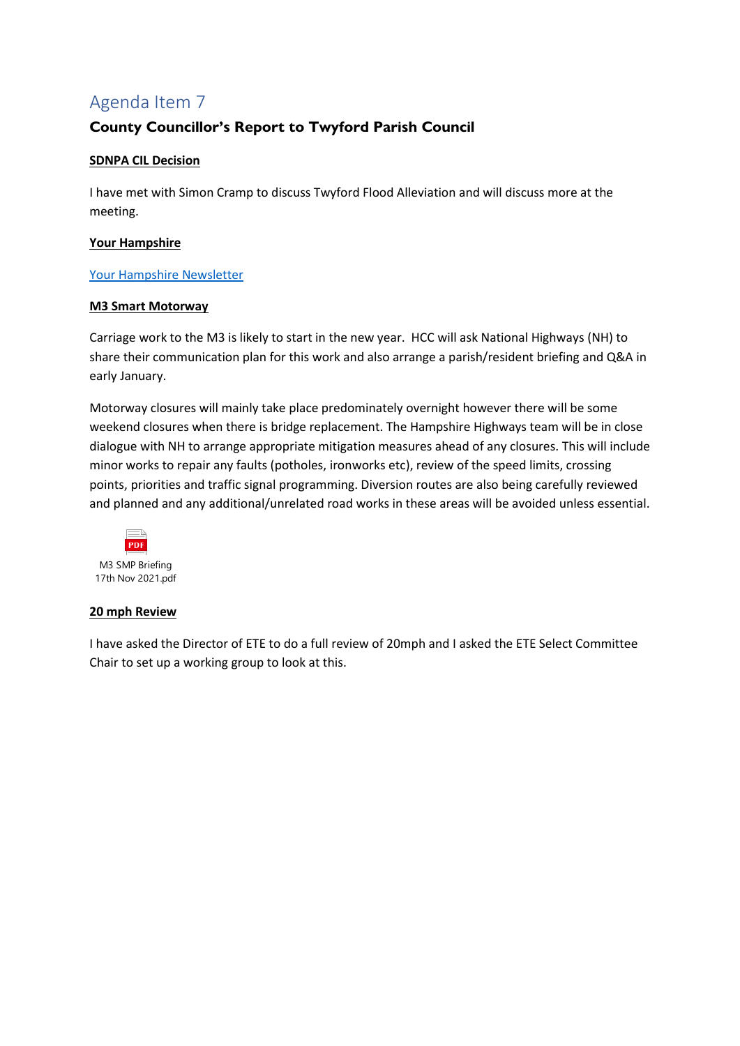## **County Councillor's Report to Twyford Parish Council**

#### **SDNPA CIL Decision**

I have met with Simon Cramp to discuss Twyford Flood Alleviation and will discuss more at the meeting.

#### **Your Hampshire**

#### [Your Hampshire Newsletter](https://smc-seb.s4hana.ondemand.com/eu/elastic-access/sap/seb/?_L54AD1F204_=c2NlbmFyaW89U0VCJnRlbmFudD1teTMwMTI4MS5zNGhhbmEub25kZW1hbmQuY29tJkNhbXBhaWduT3V0Ym91bmQ9JzY5NjVCOUNDNjQwMUUyRkI3MTZEMkFCRTJDOENGQzI4QTg0Qzc0QTEnJkxpbmtUcmFja2luZ0lzRGlzYWJsZWQ9ZmFsc2U&_K13_=151&_K14_=78e297923f23e057fb5c3674ff5938dd6aa301cf0d9d2a7205cd00c4b930b593)

#### **M3 Smart Motorway**

Carriage work to the M3 is likely to start in the new year. HCC will ask National Highways (NH) to share their communication plan for this work and also arrange a parish/resident briefing and Q&A in early January.

Motorway closures will mainly take place predominately overnight however there will be some weekend closures when there is bridge replacement. The Hampshire Highways team will be in close dialogue with NH to arrange appropriate mitigation measures ahead of any closures. This will include minor works to repair any faults (potholes, ironworks etc), review of the speed limits, crossing points, priorities and traffic signal programming. Diversion routes are also being carefully reviewed and planned and any additional/unrelated road works in these areas will be avoided unless essential.



#### **20 mph Review**

I have asked the Director of ETE to do a full review of 20mph and I asked the ETE Select Committee Chair to set up a working group to look at this.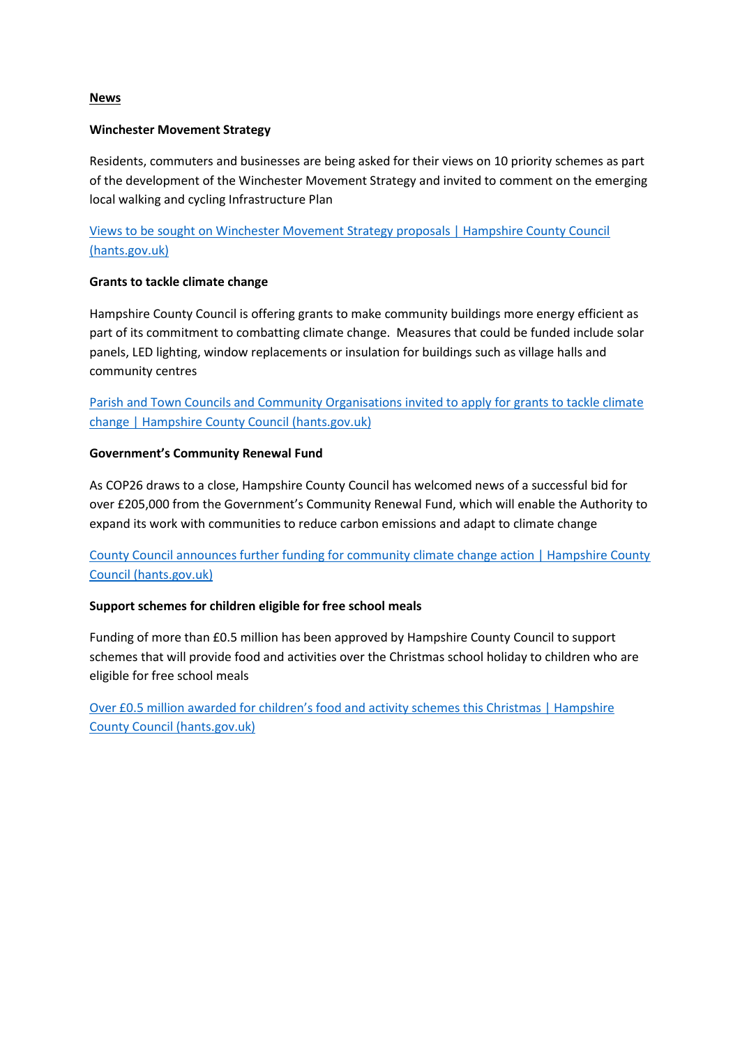#### **News**

#### **Winchester Movement Strategy**

Residents, commuters and businesses are being asked for their views on 10 priority schemes as part of the development of the Winchester Movement Strategy and invited to comment on the emerging local walking and cycling Infrastructure Plan

[Views to be sought on Winchester Movement Strategy proposals | Hampshire County Council](https://www.hants.gov.uk/News/19112021WMSupdatePR)  [\(hants.gov.uk\)](https://www.hants.gov.uk/News/19112021WMSupdatePR)

#### **Grants to tackle climate change**

Hampshire County Council is offering grants to make community buildings more energy efficient as part of its commitment to combatting climate change. Measures that could be funded include solar panels, LED lighting, window replacements or insulation for buildings such as village halls and community centres

[Parish and Town Councils and Community Organisations invited to apply for grants to tackle climate](https://www.hants.gov.uk/News/20211028climatechangegrants)  [change | Hampshire County Council \(hants.gov.uk\)](https://www.hants.gov.uk/News/20211028climatechangegrants)

#### **Government's Community Renewal Fund**

As COP26 draws to a close, Hampshire County Council has welcomed news of a successful bid for over £205,000 from the Government's Community Renewal Fund, which will enable the Authority to expand its work with communities to reduce carbon emissions and adapt to climate change

### [County Council announces further funding for community climate change action | Hampshire County](https://www.hants.gov.uk/News/20211112communityrenewalfund)  [Council \(hants.gov.uk\)](https://www.hants.gov.uk/News/20211112communityrenewalfund)

#### **Support schemes for children eligible for free school meals**

Funding of more than £0.5 million has been approved by Hampshire County Council to support schemes that will provide food and activities over the Christmas school holiday to children who are eligible for free school meals

Over £0[.5 million awarded for children's food and activity schemes this Christmas | Hampshire](https://www.hants.gov.uk/News/111121HAFchristmasgrants)  [County Council \(hants.gov.uk\)](https://www.hants.gov.uk/News/111121HAFchristmasgrants)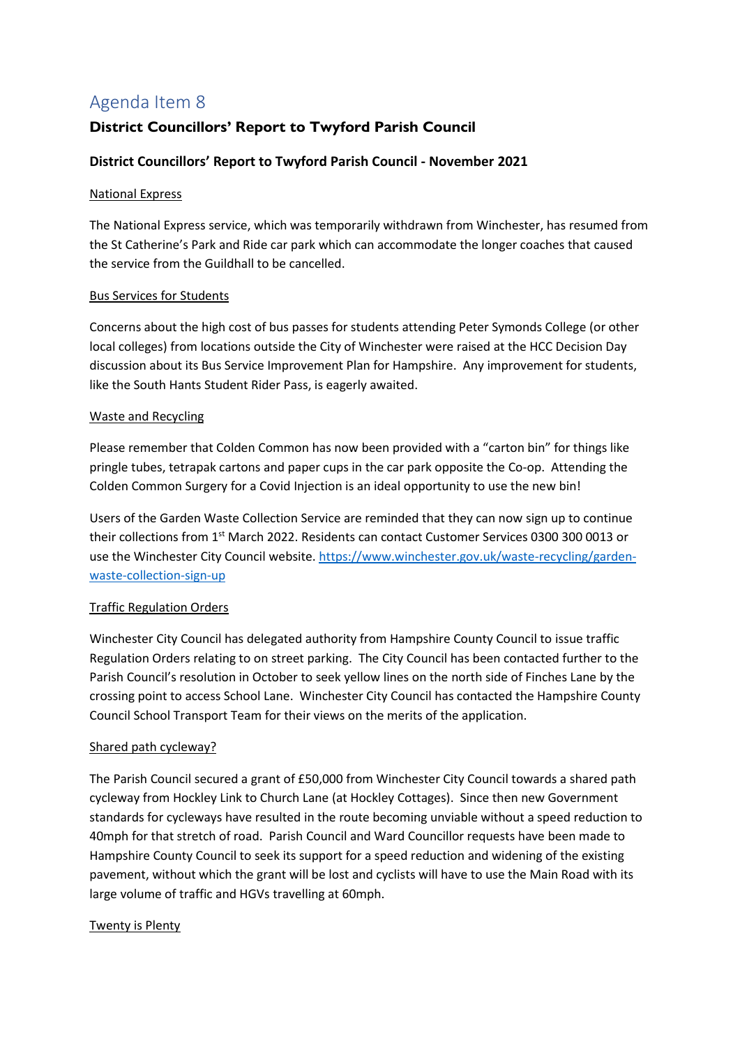## <span id="page-4-0"></span>**District Councillors' Report to Twyford Parish Council**

#### **District Councillors' Report to Twyford Parish Council - November 2021**

#### National Express

The National Express service, which was temporarily withdrawn from Winchester, has resumed from the St Catherine's Park and Ride car park which can accommodate the longer coaches that caused the service from the Guildhall to be cancelled.

#### Bus Services for Students

Concerns about the high cost of bus passes for students attending Peter Symonds College (or other local colleges) from locations outside the City of Winchester were raised at the HCC Decision Day discussion about its Bus Service Improvement Plan for Hampshire. Any improvement for students, like the South Hants Student Rider Pass, is eagerly awaited.

#### Waste and Recycling

Please remember that Colden Common has now been provided with a "carton bin" for things like pringle tubes, tetrapak cartons and paper cups in the car park opposite the Co-op. Attending the Colden Common Surgery for a Covid Injection is an ideal opportunity to use the new bin!

Users of the Garden Waste Collection Service are reminded that they can now sign up to continue their collections from 1<sup>st</sup> March 2022. Residents can contact Customer Services 0300 300 0013 or use the Winchester City Council website[. https://www.winchester.gov.uk/waste-recycling/garden](https://www.winchester.gov.uk/waste-recycling/garden-waste-collection-sign-up)[waste-collection-sign-up](https://www.winchester.gov.uk/waste-recycling/garden-waste-collection-sign-up)

#### Traffic Regulation Orders

Winchester City Council has delegated authority from Hampshire County Council to issue traffic Regulation Orders relating to on street parking. The City Council has been contacted further to the Parish Council's resolution in October to seek yellow lines on the north side of Finches Lane by the crossing point to access School Lane. Winchester City Council has contacted the Hampshire County Council School Transport Team for their views on the merits of the application.

#### Shared path cycleway?

The Parish Council secured a grant of £50,000 from Winchester City Council towards a shared path cycleway from Hockley Link to Church Lane (at Hockley Cottages). Since then new Government standards for cycleways have resulted in the route becoming unviable without a speed reduction to 40mph for that stretch of road. Parish Council and Ward Councillor requests have been made to Hampshire County Council to seek its support for a speed reduction and widening of the existing pavement, without which the grant will be lost and cyclists will have to use the Main Road with its large volume of traffic and HGVs travelling at 60mph.

#### Twenty is Plenty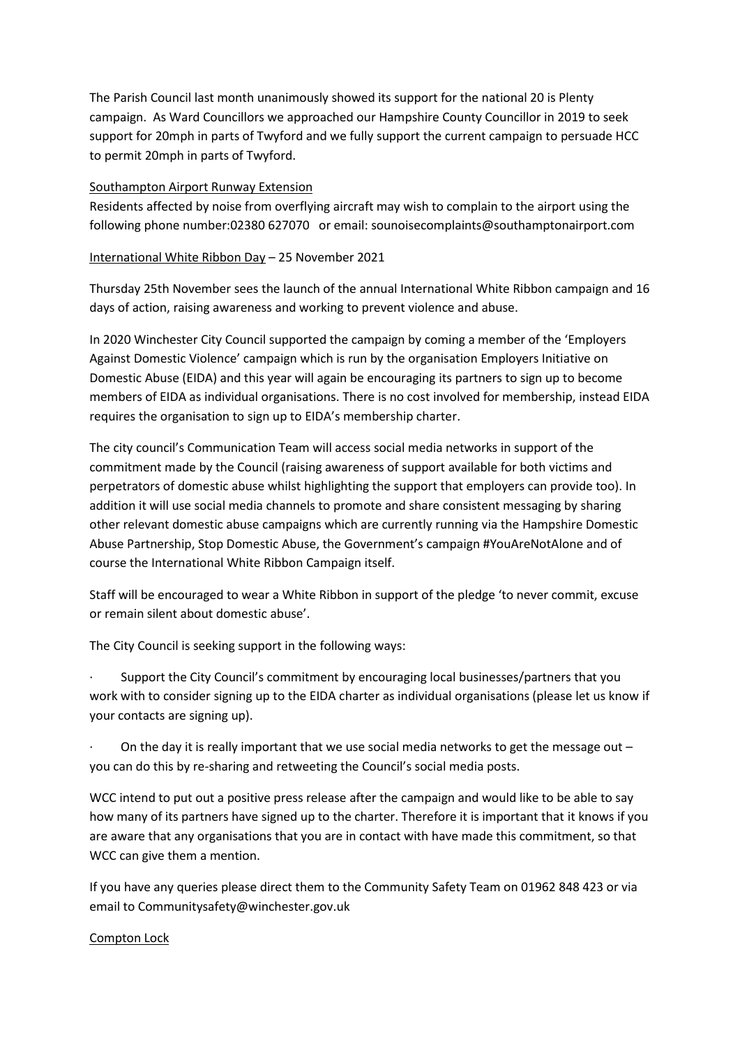The Parish Council last month unanimously showed its support for the national 20 is Plenty campaign. As Ward Councillors we approached our Hampshire County Councillor in 2019 to seek support for 20mph in parts of Twyford and we fully support the current campaign to persuade HCC to permit 20mph in parts of Twyford.

#### Southampton Airport Runway Extension

Residents affected by noise from overflying aircraft may wish to complain to the airport using the following phone number:02380 627070 or email: sounoisecomplaints@southamptonairport.com

#### International White Ribbon Day – 25 November 2021

Thursday 25th November sees the launch of the annual International White Ribbon campaign and 16 days of action, raising awareness and working to prevent violence and abuse.

In 2020 Winchester City Council supported the campaign by coming a member of the 'Employers Against Domestic Violence' campaign which is run by the organisation Employers Initiative on Domestic Abuse (EIDA) and this year will again be encouraging its partners to sign up to become members of EIDA as individual organisations. There is no cost involved for membership, instead EIDA requires the organisation to sign up to EIDA's membership charter.

The city council's Communication Team will access social media networks in support of the commitment made by the Council (raising awareness of support available for both victims and perpetrators of domestic abuse whilst highlighting the support that employers can provide too). In addition it will use social media channels to promote and share consistent messaging by sharing other relevant domestic abuse campaigns which are currently running via the Hampshire Domestic Abuse Partnership, Stop Domestic Abuse, the Government's campaign #YouAreNotAlone and of course the International White Ribbon Campaign itself.

Staff will be encouraged to wear a White Ribbon in support of the pledge 'to never commit, excuse or remain silent about domestic abuse'.

The City Council is seeking support in the following ways:

Support the City Council's commitment by encouraging local businesses/partners that you work with to consider signing up to the EIDA charter as individual organisations (please let us know if your contacts are signing up).

On the day it is really important that we use social media networks to get the message out  $$ you can do this by re-sharing and retweeting the Council's social media posts.

WCC intend to put out a positive press release after the campaign and would like to be able to say how many of its partners have signed up to the charter. Therefore it is important that it knows if you are aware that any organisations that you are in contact with have made this commitment, so that WCC can give them a mention.

If you have any queries please direct them to the Community Safety Team on 01962 848 423 or via email to Communitysafety@winchester.gov.uk

#### Compton Lock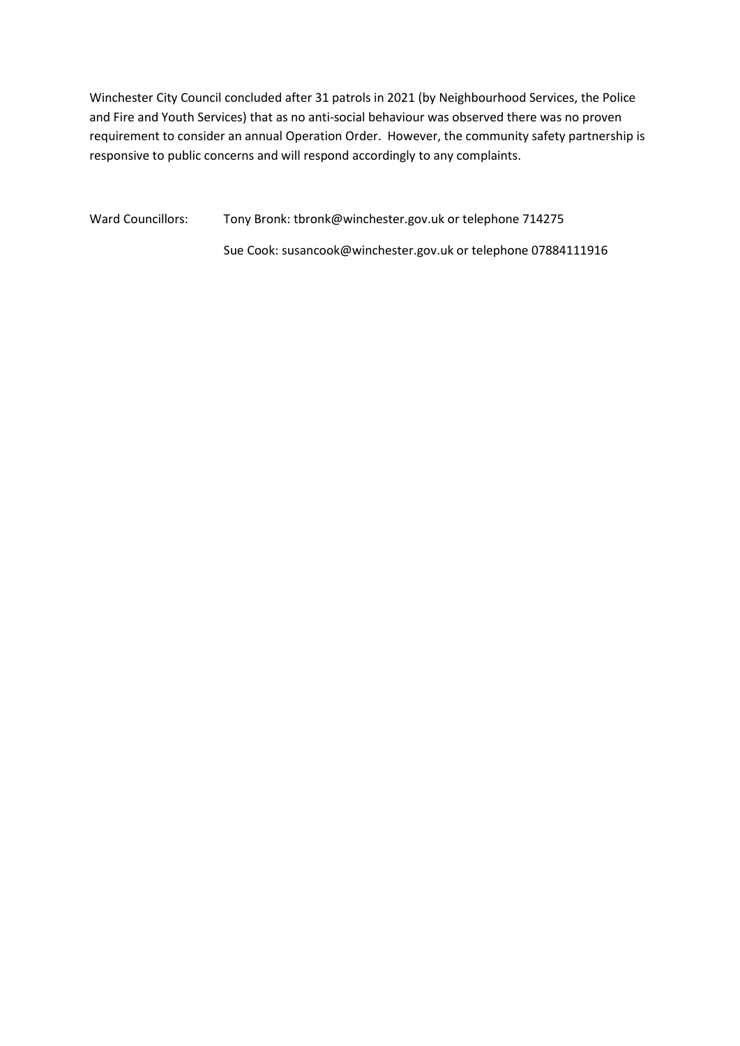Winchester City Council concluded after 31 patrols in 2021 (by Neighbourhood Services, the Police and Fire and Youth Services) that as no anti-social behaviour was observed there was no proven requirement to consider an annual Operation Order. However, the community safety partnership is responsive to public concerns and will respond accordingly to any complaints.

Ward Councillors: Tony Bronk: tbronk@winchester.gov.uk or telephone 714275

Sue Cook: susancook@winchester.gov.uk or telephone 07884111916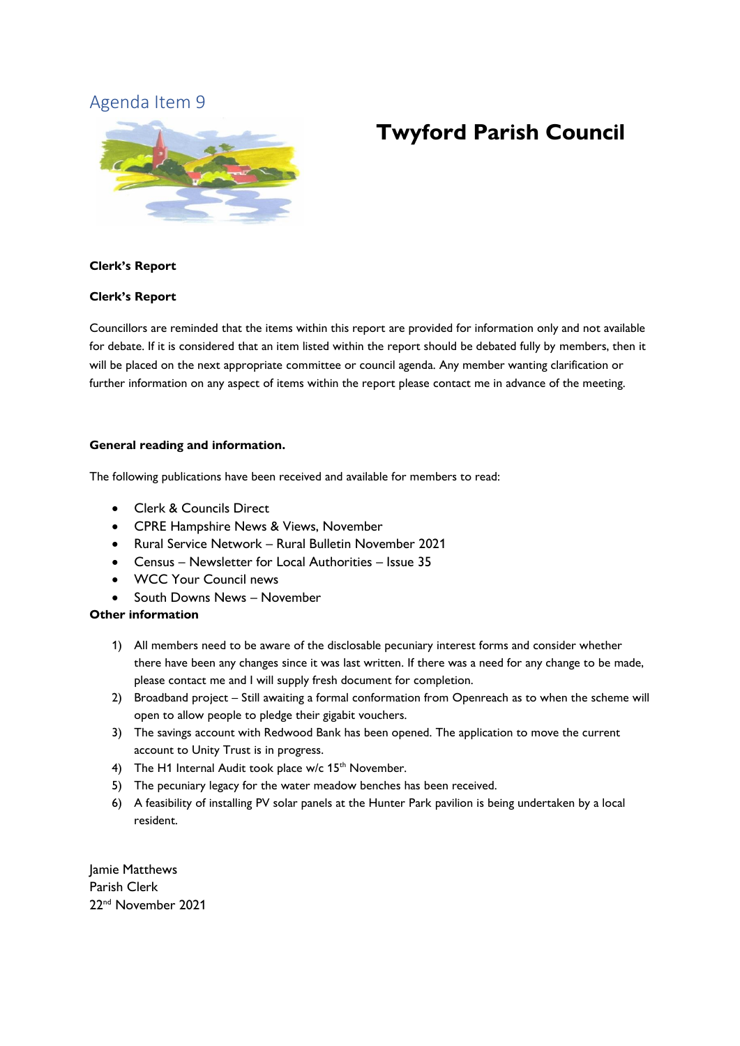<span id="page-7-0"></span>

# **Twyford Parish Council**

#### **Clerk's Report**

#### **Clerk's Report**

Councillors are reminded that the items within this report are provided for information only and not available for debate. If it is considered that an item listed within the report should be debated fully by members, then it will be placed on the next appropriate committee or council agenda. Any member wanting clarification or further information on any aspect of items within the report please contact me in advance of the meeting.

#### **General reading and information.**

The following publications have been received and available for members to read:

- Clerk & Councils Direct
- CPRE Hampshire News & Views, November
- Rural Service Network Rural Bulletin November 2021
- Census Newsletter for Local Authorities Issue 35
- WCC Your Council news
- South Downs News November

#### **Other information**

- 1) All members need to be aware of the disclosable pecuniary interest forms and consider whether there have been any changes since it was last written. If there was a need for any change to be made, please contact me and I will supply fresh document for completion.
- 2) Broadband project Still awaiting a formal conformation from Openreach as to when the scheme will open to allow people to pledge their gigabit vouchers.
- 3) The savings account with Redwood Bank has been opened. The application to move the current account to Unity Trust is in progress.
- 4) The H1 Internal Audit took place w/c 15<sup>th</sup> November.
- 5) The pecuniary legacy for the water meadow benches has been received.
- 6) A feasibility of installing PV solar panels at the Hunter Park pavilion is being undertaken by a local resident.

Jamie Matthews Parish Clerk 22nd November 2021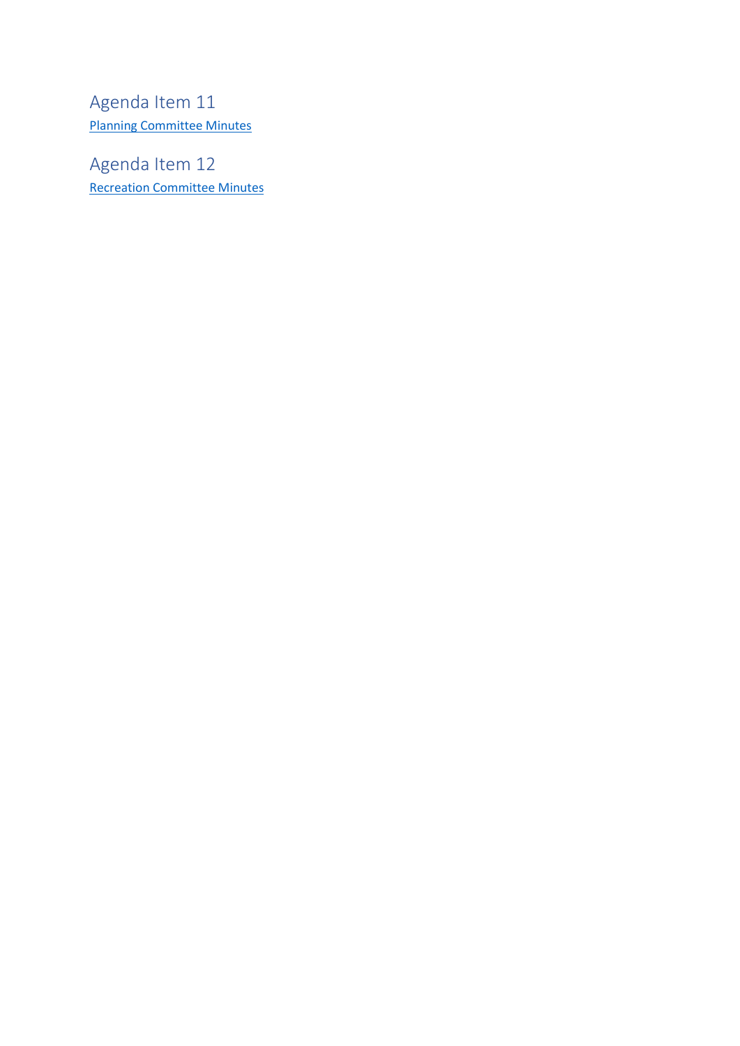<span id="page-8-0"></span>Agenda Item 11 [Planning Committee Minutes](http://twyfordhants.org.uk/wp-content/uploads/2021/11/Draft-minutes-Planning-Committee-4th-November-2021.pdf)

Agenda Item 12 Recreation [Committee Minutes](http://twyfordhants.org.uk/wp-content/uploads/2021/11/draft-Minutes-Recreation-Commitee-11.11.2021.pdf)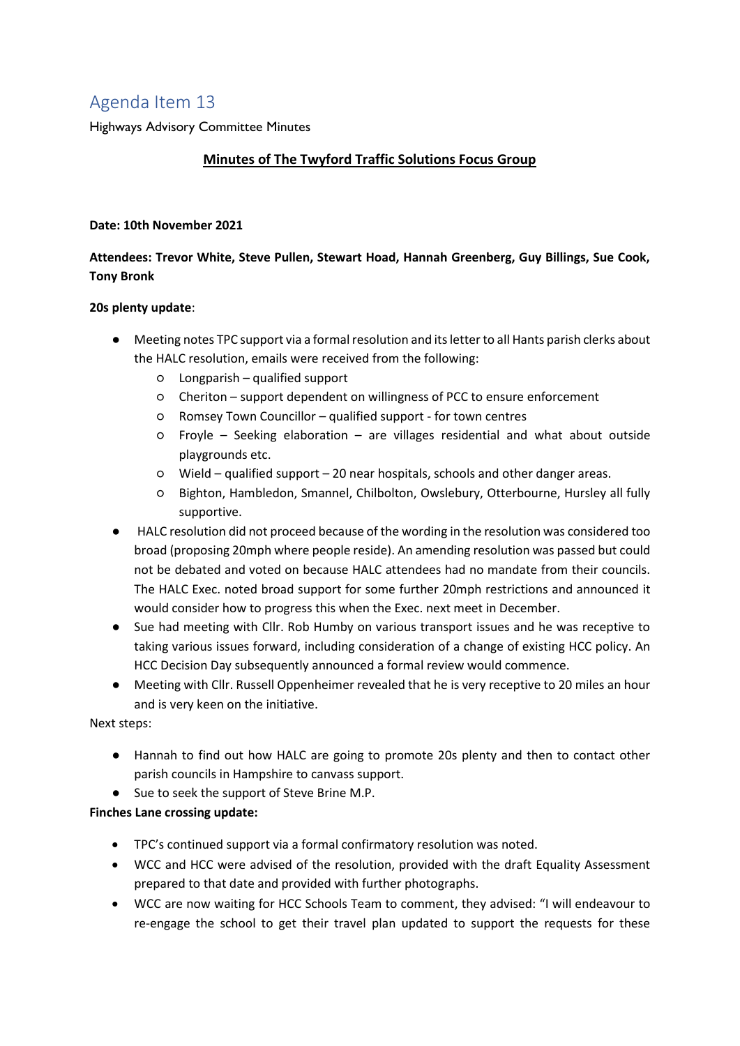<span id="page-9-0"></span>Highways Advisory Committee Minutes

## **Minutes of The Twyford Traffic Solutions Focus Group**

#### **Date: 10th November 2021**

## **Attendees: Trevor White, Steve Pullen, Stewart Hoad, Hannah Greenberg, Guy Billings, Sue Cook, Tony Bronk**

#### **20s plenty update**:

- Meeting notes TPC support via a formal resolution and its letter to all Hants parish clerks about the HALC resolution, emails were received from the following:
	- Longparish qualified support
	- Cheriton support dependent on willingness of PCC to ensure enforcement
	- Romsey Town Councillor qualified support for town centres
	- $\circ$  Froyle Seeking elaboration are villages residential and what about outside playgrounds etc.
	- Wield qualified support 20 near hospitals, schools and other danger areas.
	- Bighton, Hambledon, Smannel, Chilbolton, Owslebury, Otterbourne, Hursley all fully supportive.
- HALC resolution did not proceed because of the wording in the resolution was considered too broad (proposing 20mph where people reside). An amending resolution was passed but could not be debated and voted on because HALC attendees had no mandate from their councils. The HALC Exec. noted broad support for some further 20mph restrictions and announced it would consider how to progress this when the Exec. next meet in December.
- Sue had meeting with Cllr. Rob Humby on various transport issues and he was receptive to taking various issues forward, including consideration of a change of existing HCC policy. An HCC Decision Day subsequently announced a formal review would commence.
- Meeting with Cllr. Russell Oppenheimer revealed that he is very receptive to 20 miles an hour and is very keen on the initiative.

Next steps:

- Hannah to find out how HALC are going to promote 20s plenty and then to contact other parish councils in Hampshire to canvass support.
- Sue to seek the support of Steve Brine M.P.

#### **Finches Lane crossing update:**

- TPC's continued support via a formal confirmatory resolution was noted.
- WCC and HCC were advised of the resolution, provided with the draft Equality Assessment prepared to that date and provided with further photographs.
- WCC are now waiting for HCC Schools Team to comment, they advised: "I will endeavour to re-engage the school to get their travel plan updated to support the requests for these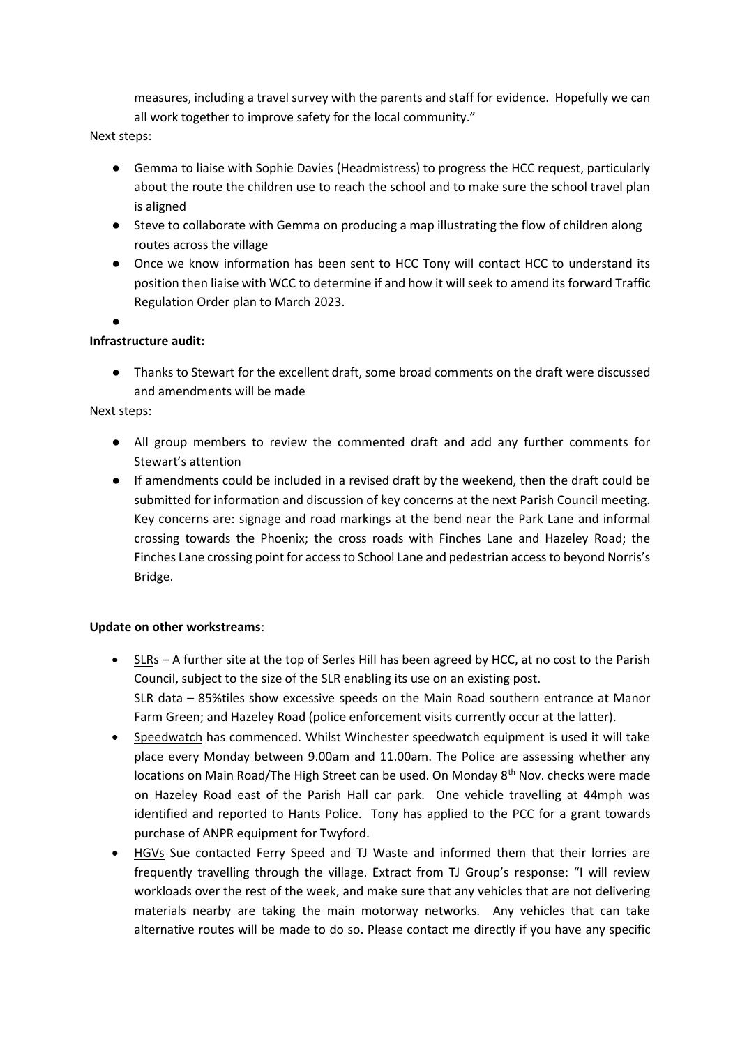measures, including a travel survey with the parents and staff for evidence. Hopefully we can all work together to improve safety for the local community."

Next steps:

- Gemma to liaise with Sophie Davies (Headmistress) to progress the HCC request, particularly about the route the children use to reach the school and to make sure the school travel plan is aligned
- Steve to collaborate with Gemma on producing a map illustrating the flow of children along routes across the village
- Once we know information has been sent to HCC Tony will contact HCC to understand its position then liaise with WCC to determine if and how it will seek to amend its forward Traffic Regulation Order plan to March 2023.

 $\bullet$ 

#### **Infrastructure audit:**

● Thanks to Stewart for the excellent draft, some broad comments on the draft were discussed and amendments will be made

Next steps:

- All group members to review the commented draft and add any further comments for Stewart's attention
- If amendments could be included in a revised draft by the weekend, then the draft could be submitted for information and discussion of key concerns at the next Parish Council meeting. Key concerns are: signage and road markings at the bend near the Park Lane and informal crossing towards the Phoenix; the cross roads with Finches Lane and Hazeley Road; the Finches Lane crossing point for access to School Lane and pedestrian access to beyond Norris's Bridge.

#### **Update on other workstreams**:

- SLRs A further site at the top of Serles Hill has been agreed by HCC, at no cost to the Parish Council, subject to the size of the SLR enabling its use on an existing post. SLR data – 85%tiles show excessive speeds on the Main Road southern entrance at Manor Farm Green; and Hazeley Road (police enforcement visits currently occur at the latter).
- Speedwatch has commenced. Whilst Winchester speedwatch equipment is used it will take place every Monday between 9.00am and 11.00am. The Police are assessing whether any locations on Main Road/The High Street can be used. On Monday 8<sup>th</sup> Nov. checks were made on Hazeley Road east of the Parish Hall car park. One vehicle travelling at 44mph was identified and reported to Hants Police. Tony has applied to the PCC for a grant towards purchase of ANPR equipment for Twyford.
- HGVs Sue contacted Ferry Speed and TJ Waste and informed them that their lorries are frequently travelling through the village. Extract from TJ Group's response: "I will review workloads over the rest of the week, and make sure that any vehicles that are not delivering materials nearby are taking the main motorway networks. Any vehicles that can take alternative routes will be made to do so. Please contact me directly if you have any specific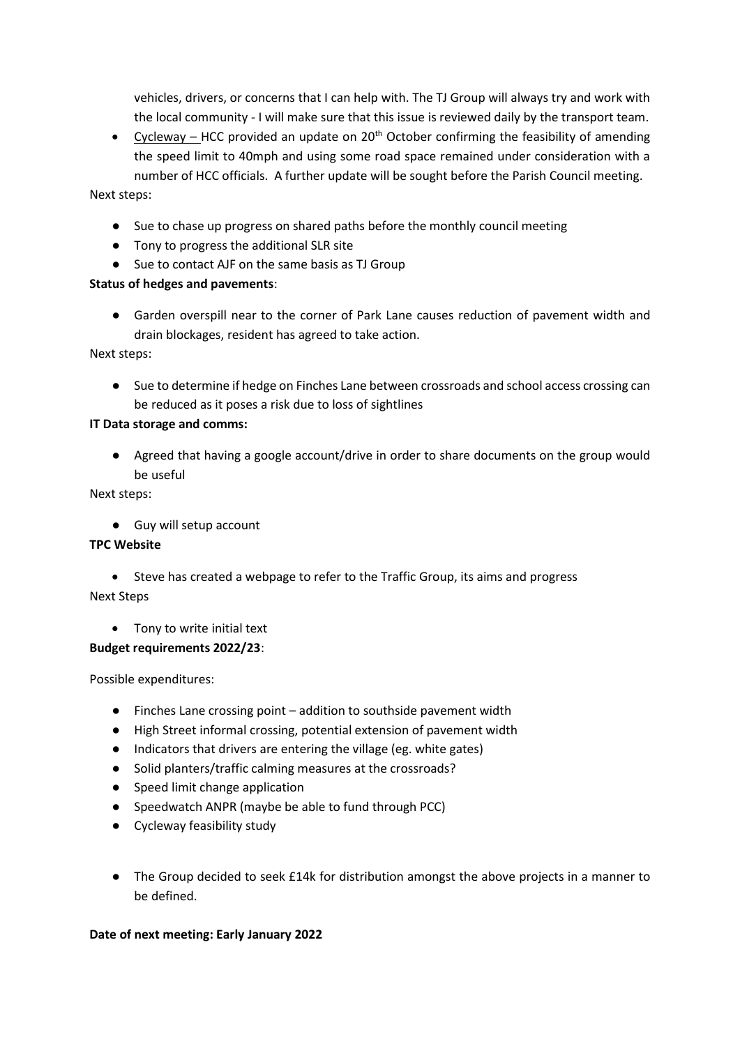vehicles, drivers, or concerns that I can help with. The TJ Group will always try and work with the local community - I will make sure that this issue is reviewed daily by the transport team.

• Cycleway – HCC provided an update on  $20<sup>th</sup>$  October confirming the feasibility of amending the speed limit to 40mph and using some road space remained under consideration with a number of HCC officials. A further update will be sought before the Parish Council meeting.

#### Next steps:

- Sue to chase up progress on shared paths before the monthly council meeting
- Tony to progress the additional SLR site
- Sue to contact AJF on the same basis as TJ Group

#### **Status of hedges and pavements**:

● Garden overspill near to the corner of Park Lane causes reduction of pavement width and drain blockages, resident has agreed to take action.

Next steps:

● Sue to determine if hedge on Finches Lane between crossroads and school access crossing can be reduced as it poses a risk due to loss of sightlines

#### **IT Data storage and comms:**

● Agreed that having a google account/drive in order to share documents on the group would be useful

Next steps:

● Guy will setup account

#### **TPC Website**

- Steve has created a webpage to refer to the Traffic Group, its aims and progress Next Steps
	- Tony to write initial text

#### **Budget requirements 2022/23**:

Possible expenditures:

- Finches Lane crossing point addition to southside pavement width
- High Street informal crossing, potential extension of pavement width
- Indicators that drivers are entering the village (eg. white gates)
- Solid planters/traffic calming measures at the crossroads?
- Speed limit change application
- Speedwatch ANPR (maybe be able to fund through PCC)
- Cycleway feasibility study
- The Group decided to seek £14k for distribution amongst the above projects in a manner to be defined.

#### **Date of next meeting: Early January 2022**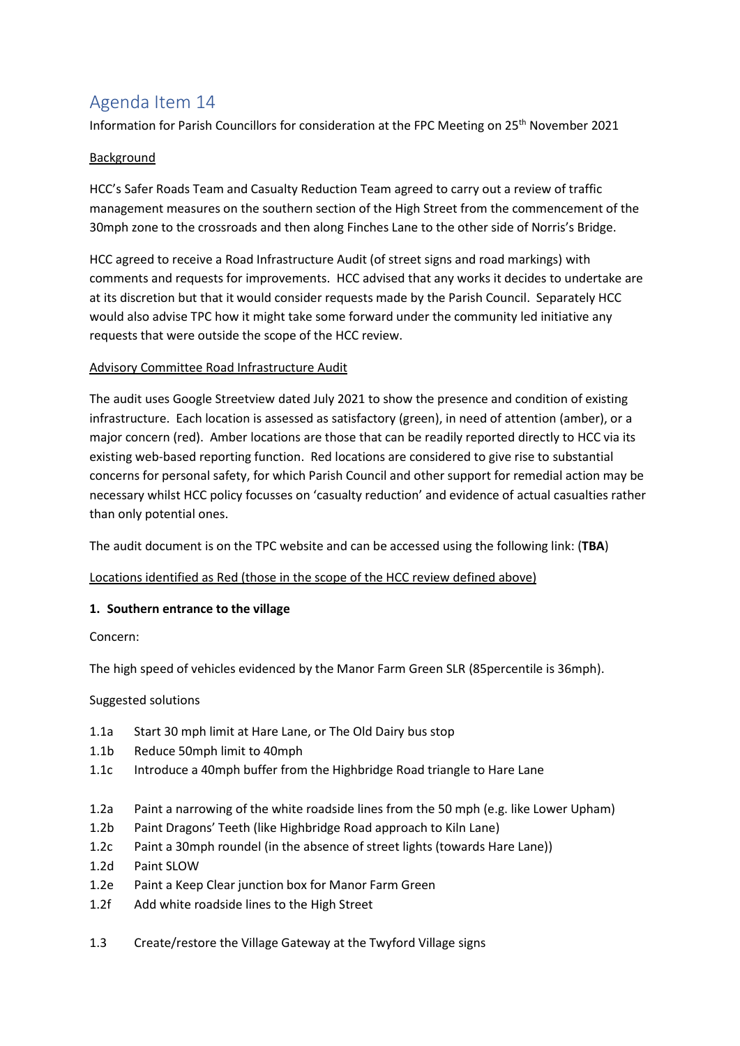Information for Parish Councillors for consideration at the FPC Meeting on 25<sup>th</sup> November 2021

#### Background

HCC's Safer Roads Team and Casualty Reduction Team agreed to carry out a review of traffic management measures on the southern section of the High Street from the commencement of the 30mph zone to the crossroads and then along Finches Lane to the other side of Norris's Bridge.

HCC agreed to receive a Road Infrastructure Audit (of street signs and road markings) with comments and requests for improvements. HCC advised that any works it decides to undertake are at its discretion but that it would consider requests made by the Parish Council. Separately HCC would also advise TPC how it might take some forward under the community led initiative any requests that were outside the scope of the HCC review.

#### Advisory Committee Road Infrastructure Audit

The audit uses Google Streetview dated July 2021 to show the presence and condition of existing infrastructure. Each location is assessed as satisfactory (green), in need of attention (amber), or a major concern (red). Amber locations are those that can be readily reported directly to HCC via its existing web-based reporting function. Red locations are considered to give rise to substantial concerns for personal safety, for which Parish Council and other support for remedial action may be necessary whilst HCC policy focusses on 'casualty reduction' and evidence of actual casualties rather than only potential ones.

The audit document is on the TPC website and can be accessed using the following link: (**TBA**)

#### Locations identified as Red (those in the scope of the HCC review defined above)

#### **1. Southern entrance to the village**

Concern:

The high speed of vehicles evidenced by the Manor Farm Green SLR (85percentile is 36mph).

Suggested solutions

- 1.1a Start 30 mph limit at Hare Lane, or The Old Dairy bus stop
- 1.1b Reduce 50mph limit to 40mph
- 1.1c Introduce a 40mph buffer from the Highbridge Road triangle to Hare Lane
- 1.2a Paint a narrowing of the white roadside lines from the 50 mph (e.g. like Lower Upham)
- 1.2b Paint Dragons' Teeth (like Highbridge Road approach to Kiln Lane)
- 1.2c Paint a 30mph roundel (in the absence of street lights (towards Hare Lane))
- 1.2d Paint SLOW
- 1.2e Paint a Keep Clear junction box for Manor Farm Green
- 1.2f Add white roadside lines to the High Street
- 1.3 Create/restore the Village Gateway at the Twyford Village signs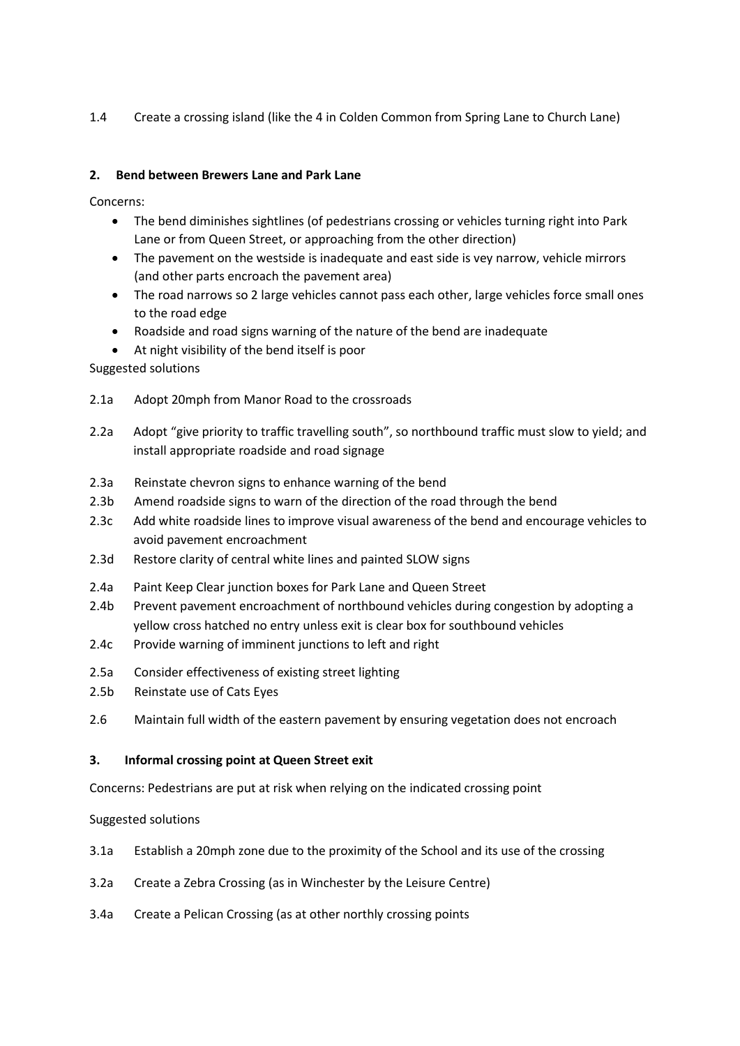1.4 Create a crossing island (like the 4 in Colden Common from Spring Lane to Church Lane)

#### **2. Bend between Brewers Lane and Park Lane**

Concerns:

- The bend diminishes sightlines (of pedestrians crossing or vehicles turning right into Park Lane or from Queen Street, or approaching from the other direction)
- The pavement on the westside is inadequate and east side is vey narrow, vehicle mirrors (and other parts encroach the pavement area)
- The road narrows so 2 large vehicles cannot pass each other, large vehicles force small ones to the road edge
- Roadside and road signs warning of the nature of the bend are inadequate
- At night visibility of the bend itself is poor

Suggested solutions

- 2.1a Adopt 20mph from Manor Road to the crossroads
- 2.2a Adopt "give priority to traffic travelling south", so northbound traffic must slow to yield; and install appropriate roadside and road signage
- 2.3a Reinstate chevron signs to enhance warning of the bend
- 2.3b Amend roadside signs to warn of the direction of the road through the bend
- 2.3c Add white roadside lines to improve visual awareness of the bend and encourage vehicles to avoid pavement encroachment
- 2.3d Restore clarity of central white lines and painted SLOW signs
- 2.4a Paint Keep Clear junction boxes for Park Lane and Queen Street
- 2.4b Prevent pavement encroachment of northbound vehicles during congestion by adopting a yellow cross hatched no entry unless exit is clear box for southbound vehicles
- 2.4c Provide warning of imminent junctions to left and right
- 2.5a Consider effectiveness of existing street lighting
- 2.5b Reinstate use of Cats Eyes
- 2.6 Maintain full width of the eastern pavement by ensuring vegetation does not encroach

#### **3. Informal crossing point at Queen Street exit**

Concerns: Pedestrians are put at risk when relying on the indicated crossing point

Suggested solutions

- 3.1a Establish a 20mph zone due to the proximity of the School and its use of the crossing
- 3.2a Create a Zebra Crossing (as in Winchester by the Leisure Centre)
- 3.4a Create a Pelican Crossing (as at other northly crossing points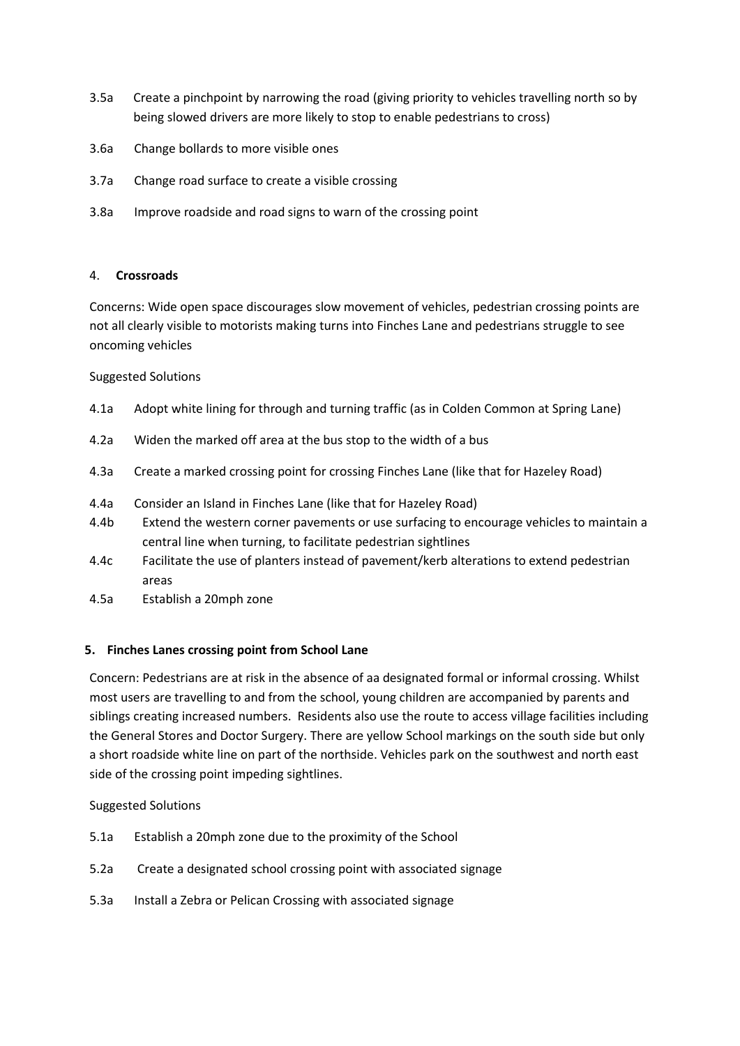- 3.5a Create a pinchpoint by narrowing the road (giving priority to vehicles travelling north so by being slowed drivers are more likely to stop to enable pedestrians to cross)
- 3.6a Change bollards to more visible ones
- 3.7a Change road surface to create a visible crossing
- 3.8a Improve roadside and road signs to warn of the crossing point

#### 4. **Crossroads**

Concerns: Wide open space discourages slow movement of vehicles, pedestrian crossing points are not all clearly visible to motorists making turns into Finches Lane and pedestrians struggle to see oncoming vehicles

#### Suggested Solutions

- 4.1a Adopt white lining for through and turning traffic (as in Colden Common at Spring Lane)
- 4.2a Widen the marked off area at the bus stop to the width of a bus
- 4.3a Create a marked crossing point for crossing Finches Lane (like that for Hazeley Road)
- 4.4a Consider an Island in Finches Lane (like that for Hazeley Road)
- 4.4b Extend the western corner pavements or use surfacing to encourage vehicles to maintain a central line when turning, to facilitate pedestrian sightlines
- 4.4c Facilitate the use of planters instead of pavement/kerb alterations to extend pedestrian areas
- 4.5a Establish a 20mph zone

#### **5. Finches Lanes crossing point from School Lane**

Concern: Pedestrians are at risk in the absence of aa designated formal or informal crossing. Whilst most users are travelling to and from the school, young children are accompanied by parents and siblings creating increased numbers. Residents also use the route to access village facilities including the General Stores and Doctor Surgery. There are yellow School markings on the south side but only a short roadside white line on part of the northside. Vehicles park on the southwest and north east side of the crossing point impeding sightlines.

#### Suggested Solutions

- 5.1a Establish a 20mph zone due to the proximity of the School
- 5.2a Create a designated school crossing point with associated signage
- 5.3a Install a Zebra or Pelican Crossing with associated signage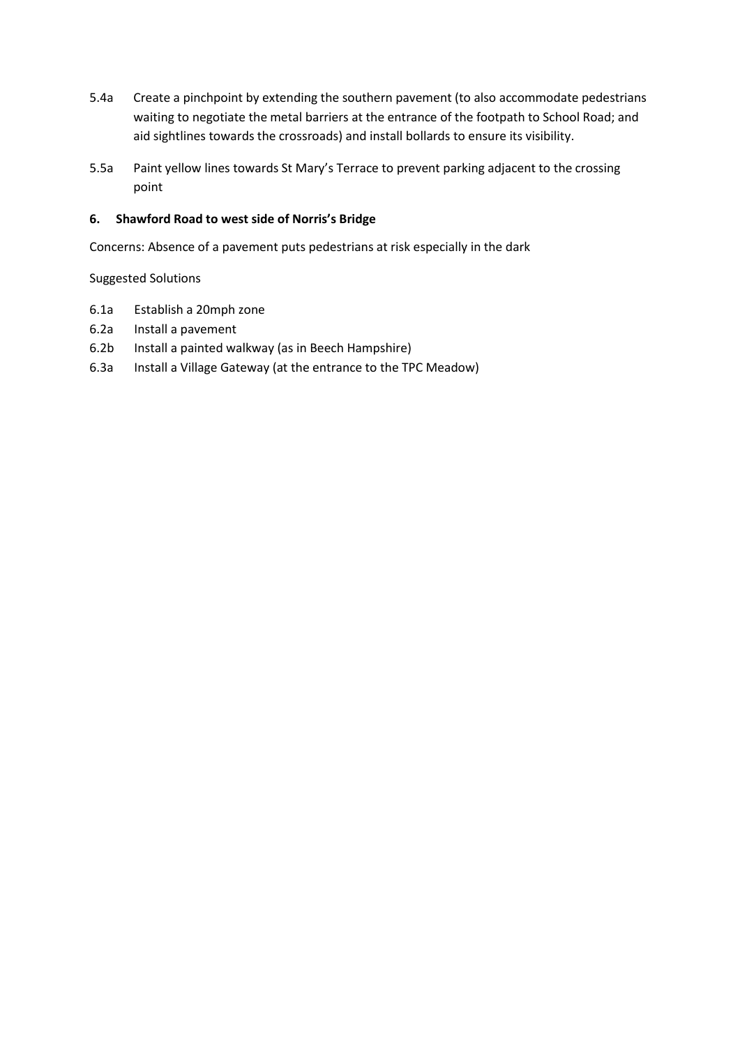- 5.4a Create a pinchpoint by extending the southern pavement (to also accommodate pedestrians waiting to negotiate the metal barriers at the entrance of the footpath to School Road; and aid sightlines towards the crossroads) and install bollards to ensure its visibility.
- 5.5a Paint yellow lines towards St Mary's Terrace to prevent parking adjacent to the crossing point

#### **6. Shawford Road to west side of Norris's Bridge**

Concerns: Absence of a pavement puts pedestrians at risk especially in the dark

Suggested Solutions

- 6.1a Establish a 20mph zone
- 6.2a Install a pavement
- 6.2b Install a painted walkway (as in Beech Hampshire)
- 6.3a Install a Village Gateway (at the entrance to the TPC Meadow)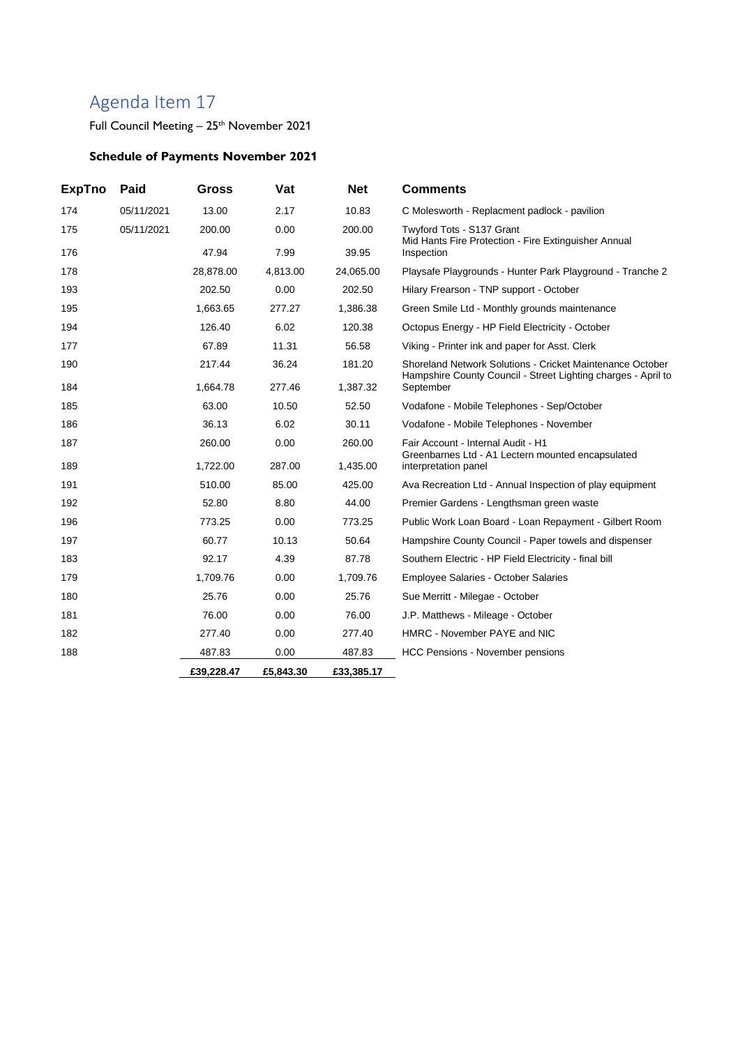Full Council Meeting - 25<sup>th</sup> November 2021

## **Schedule of Payments November 2021**

| <b>ExpTno</b> | Paid       | Gross      | Vat       | <b>Net</b> | <b>Comments</b>                                                                                                            |
|---------------|------------|------------|-----------|------------|----------------------------------------------------------------------------------------------------------------------------|
| 174           | 05/11/2021 | 13.00      | 2.17      | 10.83      | C Molesworth - Replacment padlock - pavilion                                                                               |
| 175           | 05/11/2021 | 200.00     | 0.00      | 200.00     | Twyford Tots - S137 Grant                                                                                                  |
| 176           |            | 47.94      | 7.99      | 39.95      | Mid Hants Fire Protection - Fire Extinguisher Annual<br>Inspection                                                         |
| 178           |            | 28,878.00  | 4,813.00  | 24,065.00  | Playsafe Playgrounds - Hunter Park Playground - Tranche 2                                                                  |
| 193           |            | 202.50     | 0.00      | 202.50     | Hilary Frearson - TNP support - October                                                                                    |
| 195           |            | 1,663.65   | 277.27    | 1,386.38   | Green Smile Ltd - Monthly grounds maintenance                                                                              |
| 194           |            | 126.40     | 6.02      | 120.38     | Octopus Energy - HP Field Electricity - October                                                                            |
| 177           |            | 67.89      | 11.31     | 56.58      | Viking - Printer ink and paper for Asst. Clerk                                                                             |
| 190           |            | 217.44     | 36.24     | 181.20     | Shoreland Network Solutions - Cricket Maintenance October<br>Hampshire County Council - Street Lighting charges - April to |
| 184           |            | 1,664.78   | 277.46    | 1,387.32   | September                                                                                                                  |
| 185           |            | 63.00      | 10.50     | 52.50      | Vodafone - Mobile Telephones - Sep/October                                                                                 |
| 186           |            | 36.13      | 6.02      | 30.11      | Vodafone - Mobile Telephones - November                                                                                    |
| 187           |            | 260.00     | 0.00      | 260.00     | Fair Account - Internal Audit - H1<br>Greenbarnes Ltd - A1 Lectern mounted encapsulated                                    |
| 189           |            | 1,722.00   | 287.00    | 1,435.00   | interpretation panel                                                                                                       |
| 191           |            | 510.00     | 85.00     | 425.00     | Ava Recreation Ltd - Annual Inspection of play equipment                                                                   |
| 192           |            | 52.80      | 8.80      | 44.00      | Premier Gardens - Lengthsman green waste                                                                                   |
| 196           |            | 773.25     | 0.00      | 773.25     | Public Work Loan Board - Loan Repayment - Gilbert Room                                                                     |
| 197           |            | 60.77      | 10.13     | 50.64      | Hampshire County Council - Paper towels and dispenser                                                                      |
| 183           |            | 92.17      | 4.39      | 87.78      | Southern Electric - HP Field Electricity - final bill                                                                      |
| 179           |            | 1,709.76   | 0.00      | 1,709.76   | <b>Employee Salaries - October Salaries</b>                                                                                |
| 180           |            | 25.76      | 0.00      | 25.76      | Sue Merritt - Milegae - October                                                                                            |
| 181           |            | 76.00      | 0.00      | 76.00      | J.P. Matthews - Mileage - October                                                                                          |
| 182           |            | 277.40     | 0.00      | 277.40     | HMRC - November PAYE and NIC                                                                                               |
| 188           |            | 487.83     | 0.00      | 487.83     | <b>HCC Pensions - November pensions</b>                                                                                    |
|               |            | £39,228.47 | £5,843.30 | £33,385.17 |                                                                                                                            |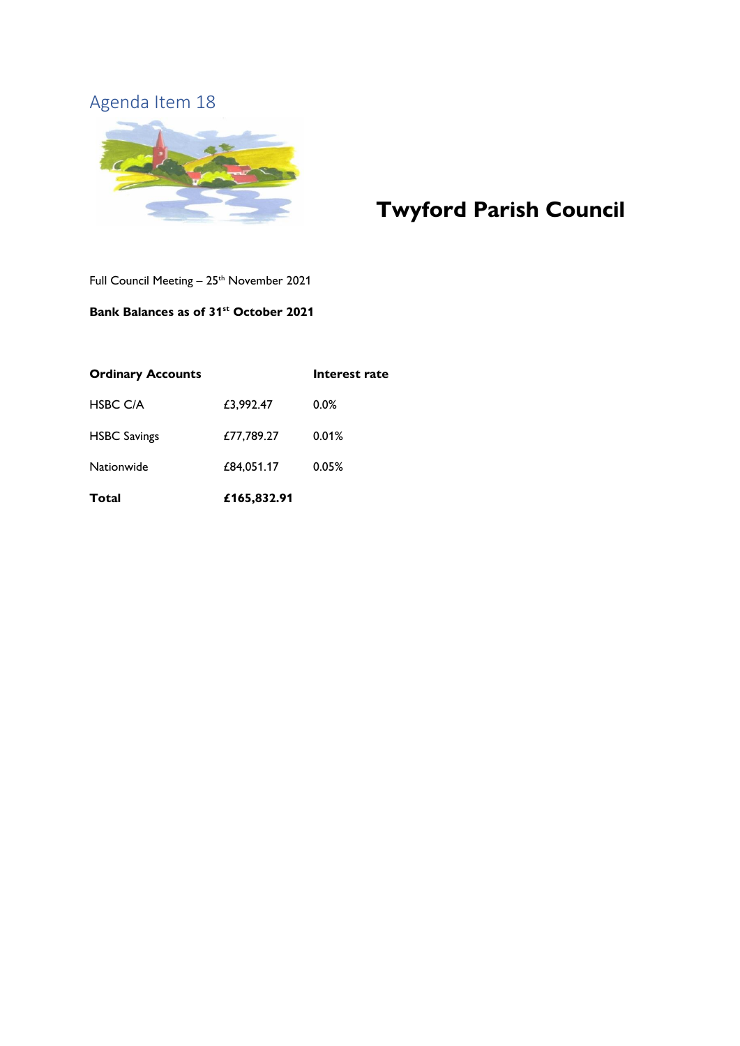

# **Twyford Parish Council**

Full Council Meeting -  $25$ <sup>th</sup> November 2021

#### **Bank Balances as of 31 st October 2021**

| <b>Ordinary Accounts</b> |             | Interest rate |
|--------------------------|-------------|---------------|
| <b>HSBC C/A</b>          | £3,992.47   | $0.0\%$       |
| <b>HSBC Savings</b>      | £77,789.27  | 0.01%         |
| Nationwide               | £84,051.17  | 0.05%         |
| Total                    | £165,832.91 |               |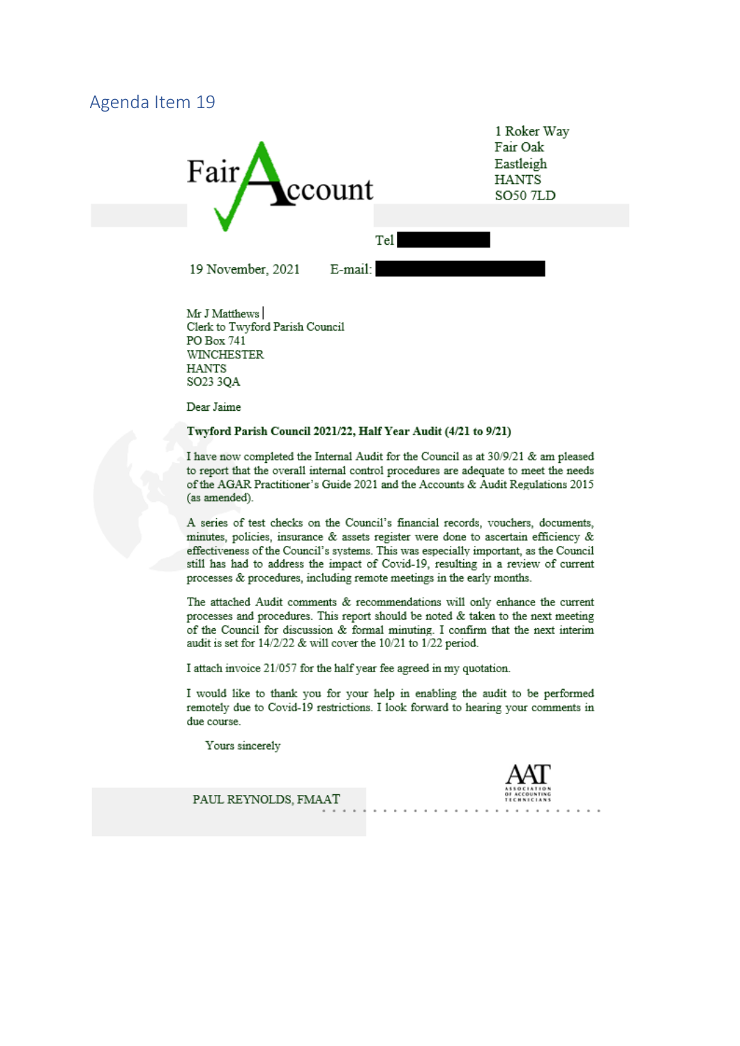<span id="page-18-0"></span>

Mr J Matthews Clerk to Twyford Parish Council PO Box 741 **WINCHESTER HANTS** SO23 3QA

Dear Jaime

#### Twyford Parish Council 2021/22, Half Year Audit (4/21 to 9/21)

I have now completed the Internal Audit for the Council as at 30/9/21 & am pleased to report that the overall internal control procedures are adequate to meet the needs of the AGAR Practitioner's Guide 2021 and the Accounts & Audit Regulations 2015 (as amended).

A series of test checks on the Council's financial records, vouchers, documents, minutes, policies, insurance & assets register were done to ascertain efficiency & effectiveness of the Council's systems. This was especially important, as the Council still has had to address the impact of Covid-19, resulting in a review of current processes & procedures, including remote meetings in the early months.

The attached Audit comments & recommendations will only enhance the current processes and procedures. This report should be noted & taken to the next meeting of the Council for discussion & formal minuting. I confirm that the next interim audit is set for 14/2/22 & will cover the 10/21 to 1/22 period.

I attach invoice 21/057 for the half year fee agreed in my quotation.

I would like to thank you for your help in enabling the audit to be performed remotely due to Covid-19 restrictions. I look forward to hearing your comments in due course.

Yours sincerely



PAUL REYNOLDS, FMAAT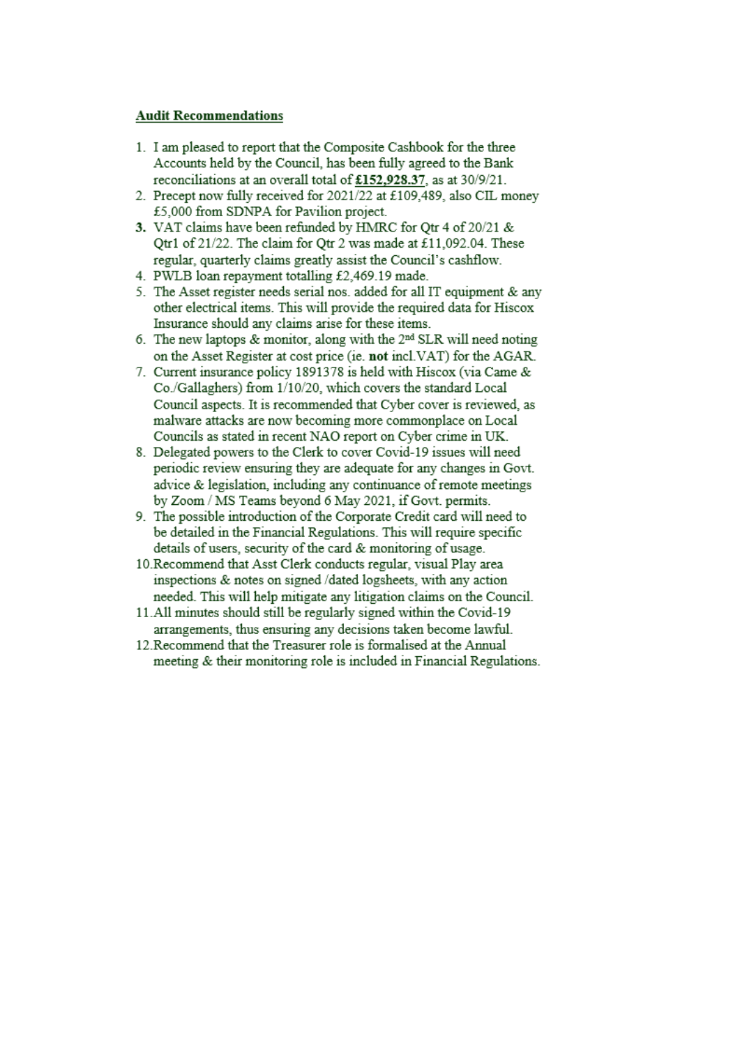#### **Audit Recommendations**

- 1. I am pleased to report that the Composite Cashbook for the three Accounts held by the Council, has been fully agreed to the Bank reconciliations at an overall total of £152,928.37, as at 30/9/21.
- 2. Precept now fully received for 2021/22 at £109,489, also CIL money £5,000 from SDNPA for Pavilion project.
- 3. VAT claims have been refunded by HMRC for Qtr 4 of 20/21 & Otr1 of 21/22. The claim for Otr 2 was made at £11,092.04. These regular, quarterly claims greatly assist the Council's cashflow.
- 4. PWLB loan repayment totalling £2,469.19 made.
- 5. The Asset register needs serial nos. added for all IT equipment & any other electrical items. This will provide the required data for Hiscox Insurance should any claims arise for these items.
- 6. The new laptops & monitor, along with the 2<sup>nd</sup> SLR will need noting on the Asset Register at cost price (ie. not incl. VAT) for the AGAR.
- 7. Current insurance policy 1891378 is held with Hiscox (via Came & Co./Gallaghers) from 1/10/20, which covers the standard Local Council aspects. It is recommended that Cyber cover is reviewed, as malware attacks are now becoming more commonplace on Local Councils as stated in recent NAO report on Cyber crime in UK.
- 8. Delegated powers to the Clerk to cover Covid-19 issues will need periodic review ensuring they are adequate for any changes in Govt. advice & legislation, including any continuance of remote meetings by Zoom / MS Teams beyond 6 May 2021, if Govt. permits.
- 9. The possible introduction of the Corporate Credit card will need to be detailed in the Financial Regulations. This will require specific details of users, security of the card & monitoring of usage.
- 10. Recommend that Asst Clerk conducts regular, visual Play area inspections & notes on signed /dated logsheets, with any action needed. This will help mitigate any litigation claims on the Council.
- 11.All minutes should still be regularly signed within the Covid-19 arrangements, thus ensuring any decisions taken become lawful.
- 12. Recommend that the Treasurer role is formalised at the Annual meeting & their monitoring role is included in Financial Regulations.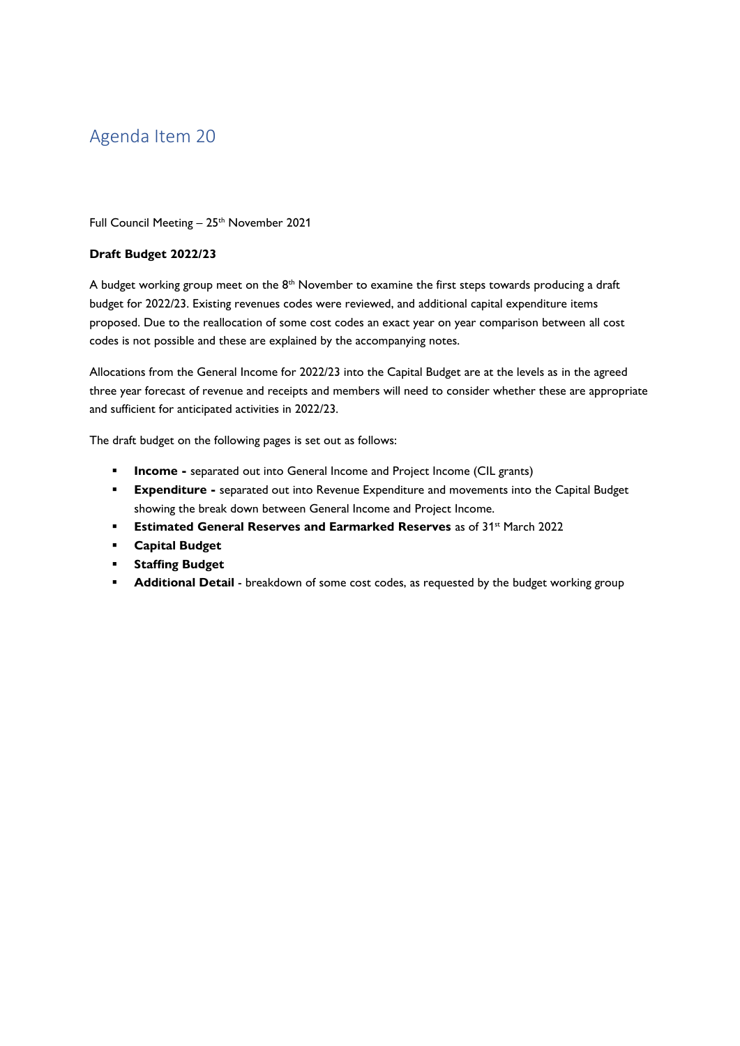<span id="page-20-0"></span>Full Council Meeting - 25<sup>th</sup> November 2021

#### **Draft Budget 2022/23**

A budget working group meet on the  $8<sup>th</sup>$  November to examine the first steps towards producing a draft budget for 2022/23. Existing revenues codes were reviewed, and additional capital expenditure items proposed. Due to the reallocation of some cost codes an exact year on year comparison between all cost codes is not possible and these are explained by the accompanying notes.

Allocations from the General Income for 2022/23 into the Capital Budget are at the levels as in the agreed three year forecast of revenue and receipts and members will need to consider whether these are appropriate and sufficient for anticipated activities in 2022/23.

The draft budget on the following pages is set out as follows:

- **<u><b>Income**</u> separated out into General Income and Project Income (CIL grants)
- **Expenditure -** separated out into Revenue Expenditure and movements into the Capital Budget showing the break down between General Income and Project Income.
- **Estimated General Reserves and Earmarked Reserves** as of 31<sup>st</sup> March 2022
- **Capital Budget**
- **Staffing Budget**
- Additional Detail breakdown of some cost codes, as requested by the budget working group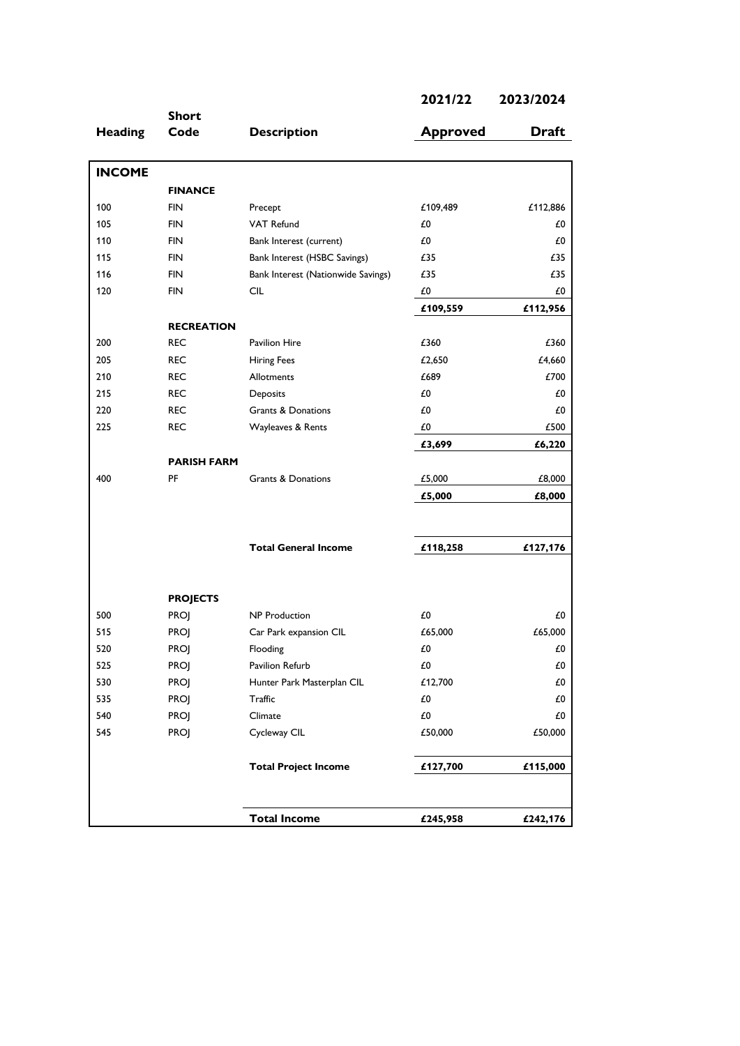|                | <b>Short</b>       |                                    |                 |              |
|----------------|--------------------|------------------------------------|-----------------|--------------|
| <b>Heading</b> | Code               | <b>Description</b>                 | <b>Approved</b> | <b>Draft</b> |
| <b>INCOME</b>  |                    |                                    |                 |              |
|                | <b>FINANCE</b>     |                                    |                 |              |
| 100            | <b>FIN</b>         | Precept                            | £109,489        | £112,886     |
| 105            | <b>FIN</b>         | <b>VAT Refund</b>                  | £0              | £0           |
| 110            | <b>FIN</b>         | Bank Interest (current)            | £0              | £0           |
| 115            | <b>FIN</b>         | Bank Interest (HSBC Savings)       | £35             | £35          |
| 116            | <b>FIN</b>         | Bank Interest (Nationwide Savings) | £35             | £35          |
| 120            | <b>FIN</b>         | <b>CIL</b>                         | £0              | £0           |
|                |                    |                                    | £109,559        | £112,956     |
|                | <b>RECREATION</b>  |                                    |                 |              |
| 200            | <b>REC</b>         | <b>Pavilion Hire</b>               | £360            | £360         |
| 205            | <b>REC</b>         | <b>Hiring Fees</b>                 | £2,650          | £4,660       |
| 210            | <b>REC</b>         | <b>Allotments</b>                  | £689            | £700         |
| 215            | <b>REC</b>         | Deposits                           | £0              | £0           |
| 220            | <b>REC</b>         | Grants & Donations                 | £0              | £0           |
| 225            | <b>REC</b>         | Wayleaves & Rents                  | £0              | £500         |
|                |                    |                                    | £3,699          | £6,220       |
|                | <b>PARISH FARM</b> |                                    |                 |              |
| 400            | PF                 | Grants & Donations                 | £5,000          | £8,000       |
|                |                    |                                    | £5,000          | £8,000       |
|                |                    |                                    |                 |              |
|                |                    | <b>Total General Income</b>        | £118,258        | £127,176     |
|                |                    |                                    |                 |              |
|                | <b>PROJECTS</b>    |                                    |                 |              |
| 500            | <b>PROJ</b>        | <b>NP</b> Production               | £0              | £0           |
| 515            | <b>PROJ</b>        | Car Park expansion CIL             | £65,000         | £65,000      |
| 520            | <b>PROJ</b>        | Flooding                           | £0              | £0           |
| 525            | <b>PROJ</b>        | Pavilion Refurb                    | $\pounds 0$     | $\pounds 0$  |
| 530            | <b>PROJ</b>        | Hunter Park Masterplan CIL         | £12,700         | £0           |
| 535            | PROJ               | Traffic                            | $\pounds 0$     | £0           |
| 540            | PROJ               | Climate                            | $\pounds 0$     | £0           |
| 545            | PROJ               | Cycleway CIL                       | £50,000         | £50,000      |
|                |                    | <b>Total Project Income</b>        | £127,700        | £115,000     |
|                |                    |                                    |                 |              |
|                |                    | <b>Total Income</b>                | £245,958        | £242,176     |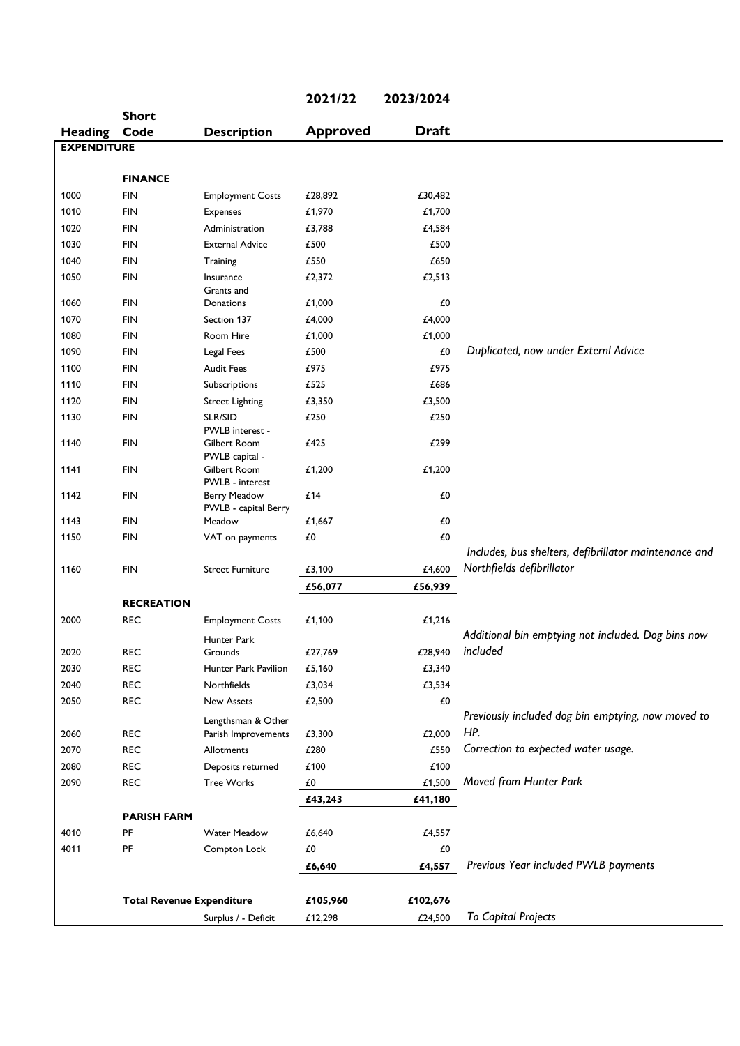|                    |                                  |                                 | 2021/22         | 2023/2024    |                                                       |
|--------------------|----------------------------------|---------------------------------|-----------------|--------------|-------------------------------------------------------|
|                    | <b>Short</b>                     |                                 |                 |              |                                                       |
| <b>Heading</b>     | Code                             | <b>Description</b>              | <b>Approved</b> | <b>Draft</b> |                                                       |
| <b>EXPENDITURE</b> |                                  |                                 |                 |              |                                                       |
|                    | <b>FINANCE</b>                   |                                 |                 |              |                                                       |
| 1000               | <b>FIN</b>                       | <b>Employment Costs</b>         | £28,892         | £30,482      |                                                       |
| 1010               | <b>FIN</b>                       | Expenses                        | £1,970          | £1,700       |                                                       |
| 1020               | <b>FIN</b>                       | Administration                  | £3,788          | £4,584       |                                                       |
| 1030               | <b>FIN</b>                       | <b>External Advice</b>          | £500            | £500         |                                                       |
| 1040               | <b>FIN</b>                       | Training                        | £550            | £650         |                                                       |
| 1050               | <b>FIN</b>                       | Insurance                       | £2,372          | £2,513       |                                                       |
|                    |                                  | Grants and                      |                 |              |                                                       |
| 1060               | <b>FIN</b>                       | Donations                       | £1,000          | £0           |                                                       |
| 1070               | <b>FIN</b>                       | Section 137                     | £4,000          | £4,000       |                                                       |
| 1080               | <b>FIN</b>                       | Room Hire                       | £1,000          | £1,000       |                                                       |
| 1090               | <b>FIN</b>                       | Legal Fees                      | £500            | £0           | Duplicated, now under Externl Advice                  |
| 1100               | <b>FIN</b>                       | <b>Audit Fees</b>               | £975            | £975         |                                                       |
| 1110               | <b>FIN</b>                       | Subscriptions                   | £525            | £686         |                                                       |
| 1120               | <b>FIN</b>                       | <b>Street Lighting</b>          | £3,350          | £3,500       |                                                       |
| 1130               | <b>FIN</b>                       | SLR/SID                         | £250            | £250         |                                                       |
| 1140               | <b>FIN</b>                       | PWLB interest -                 | £425            | £299         |                                                       |
|                    |                                  | Gilbert Room<br>PWLB capital -  |                 |              |                                                       |
| 1141               | <b>FIN</b>                       | Gilbert Room<br>PWLB - interest | £1,200          | £1,200       |                                                       |
| 1142               | <b>FIN</b>                       | <b>Berry Meadow</b>             | £14             | £0           |                                                       |
|                    |                                  | PWLB - capital Berry            |                 |              |                                                       |
| 1143               | <b>FIN</b>                       | Meadow                          | £1,667          | £0           |                                                       |
| 1150               | <b>FIN</b>                       | VAT on payments                 | £0              | £0           |                                                       |
|                    |                                  |                                 |                 |              | Includes, bus shelters, defibrillator maintenance and |
| 1160               | <b>FIN</b>                       | <b>Street Furniture</b>         | £3,100          | £4,600       | Northfields defibrillator                             |
|                    |                                  |                                 | £56,077         | £56,939      |                                                       |
|                    | <b>RECREATION</b>                |                                 |                 |              |                                                       |
| 2000               | <b>REC</b>                       | <b>Employment Costs</b>         | £1,100          | £1,216       |                                                       |
|                    |                                  | Hunter Park                     |                 |              | Additional bin emptying not included. Dog bins now    |
| 2020               | <b>REC</b>                       | Grounds                         | £27,769         | £28,940      | included                                              |
| 2030               | <b>REC</b>                       | Hunter Park Pavilion            | £5,160          | £3,340       |                                                       |
| 2040               | <b>REC</b>                       | Northfields                     | £3,034          | £3,534       |                                                       |
| 2050               | <b>REC</b>                       | <b>New Assets</b>               | £2,500          | £0           |                                                       |
|                    |                                  | Lengthsman & Other              |                 |              | Previously included dog bin emptying, now moved to    |
| 2060               | <b>REC</b>                       | Parish Improvements             | £3,300          | £2,000       | HP.                                                   |
| 2070               | <b>REC</b>                       | Allotments                      | £280            | £550         | Correction to expected water usage.                   |
| 2080               | <b>REC</b>                       | Deposits returned               | £100            | £100         |                                                       |
| 2090               | <b>REC</b>                       | <b>Tree Works</b>               | £0              | £1,500       | Moved from Hunter Park                                |
|                    |                                  |                                 | £43,243         | £41,180      |                                                       |
|                    | <b>PARISH FARM</b>               |                                 |                 |              |                                                       |
| 4010               | PF                               | <b>Water Meadow</b>             | £6,640          | £4,557       |                                                       |
| 4011               | PF                               | Compton Lock                    | £0              | $\pounds 0$  |                                                       |
|                    |                                  |                                 | £6,640          | £4,557       | Previous Year included PWLB payments                  |
|                    | <b>Total Revenue Expenditure</b> |                                 | £105,960        | £102,676     |                                                       |
|                    |                                  | Surplus / - Deficit             | £12,298         | £24,500      | <b>To Capital Projects</b>                            |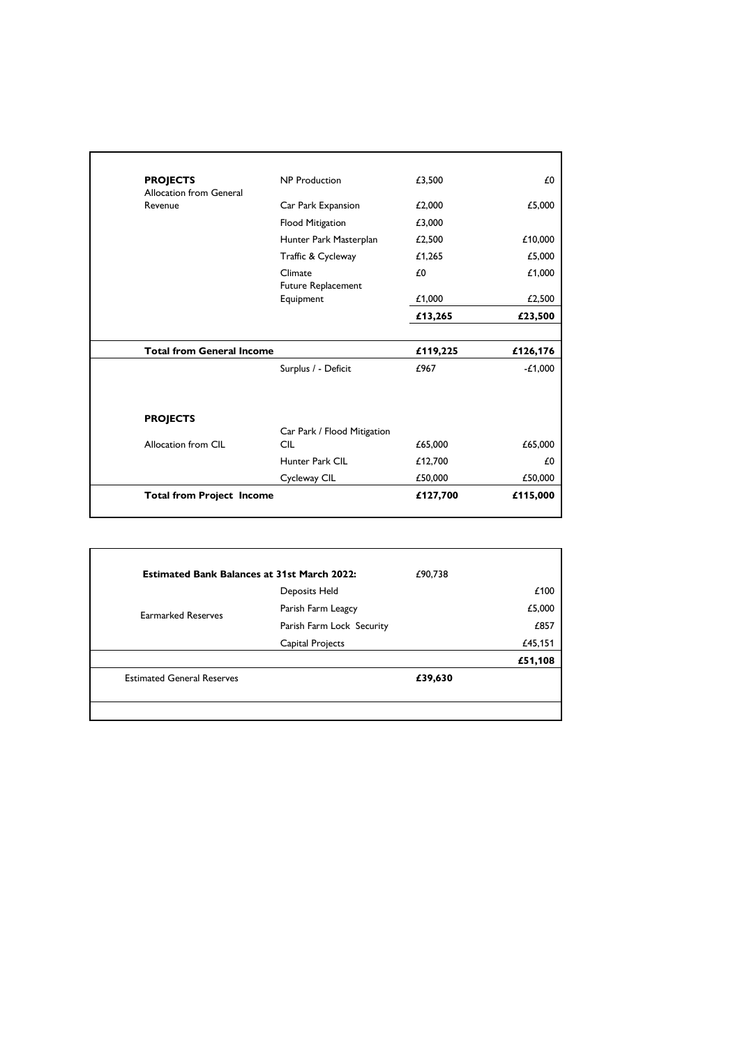| <b>Total from Project Income</b>                     | £127,700 | £115,000  |
|------------------------------------------------------|----------|-----------|
| Cycleway CIL                                         | £50,000  | £50,000   |
| Hunter Park CIL                                      | £12,700  | £0        |
| Car Park / Flood Mitigation<br><b>CIL</b>            | £65,000  | £65,000   |
|                                                      |          |           |
| Surplus / - Deficit                                  | £967     | $-L1,000$ |
| <b>Total from General Income</b>                     | £119,225 | £126,176  |
|                                                      | £13,265  | £23,500   |
| <b>Future Replacement</b><br>Equipment               | £1,000   | £2,500    |
| Climate                                              | £0       | £1,000    |
| Traffic & Cycleway                                   | £1,265   | £5,000    |
| Hunter Park Masterplan                               | £2,500   | £10,000   |
| Flood Mitigation                                     | £3,000   |           |
| <b>Allocation from General</b><br>Car Park Expansion | £2,000   | £5,000    |
| <b>NP</b> Production                                 | £3,500   | £0        |
|                                                      |          |           |

| <b>Estimated Bank Balances at 31st March 2022:</b> |                           | £90,738 |         |
|----------------------------------------------------|---------------------------|---------|---------|
|                                                    | Deposits Held             |         | £100    |
| <b>Earmarked Reserves</b>                          | Parish Farm Leagcy        |         | £5,000  |
|                                                    | Parish Farm Lock Security |         | £857    |
|                                                    | Capital Projects          |         | £45,151 |
|                                                    |                           |         | £51,108 |
| <b>Estimated General Reserves</b>                  |                           | £39,630 |         |
|                                                    |                           |         |         |
|                                                    |                           |         |         |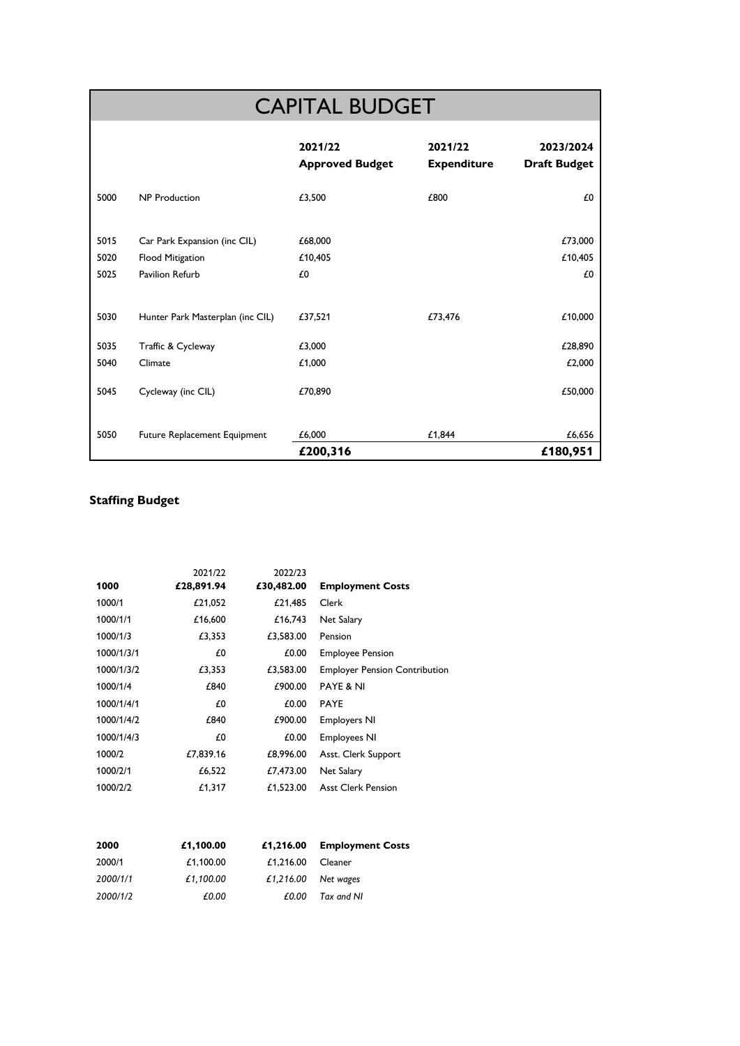# CAPITAL BUDGET

|      |                                  | 2021/22<br><b>Approved Budget</b> | 2021/22<br><b>Expenditure</b> | 2023/2024<br><b>Draft Budget</b> |
|------|----------------------------------|-----------------------------------|-------------------------------|----------------------------------|
| 5000 | <b>NP Production</b>             | £3,500                            | £800                          | £0                               |
|      |                                  |                                   |                               |                                  |
| 5015 | Car Park Expansion (inc CIL)     | £68,000                           |                               | £73,000                          |
| 5020 | Flood Mitigation                 | £10,405                           |                               | £10,405                          |
| 5025 | Pavilion Refurb                  | £0                                |                               | £0                               |
|      |                                  |                                   |                               |                                  |
| 5030 | Hunter Park Masterplan (inc CIL) | £37,521                           | £73,476                       | £10,000                          |
| 5035 | Traffic & Cycleway               | £3,000                            |                               | £28,890                          |
| 5040 | Climate                          | £1,000                            |                               | £2,000                           |
| 5045 | Cycleway (inc CIL)               | £70,890                           |                               | £50,000                          |
| 5050 | Future Replacement Equipment     | £6,000                            | £1,844                        | £6,656                           |
|      |                                  | £200,316                          |                               | £180,951                         |

## **Staffing Budget**

|            | 2021/22    | 2022/23    |                                      |
|------------|------------|------------|--------------------------------------|
| 1000       | £28,891.94 | £30,482.00 | <b>Employment Costs</b>              |
| 1000/1     | £21,052    | £21,485    | Clerk                                |
| 1000/1/1   | £16,600    | £16,743    | Net Salary                           |
| 1000/1/3   | £3,353     | £3,583.00  | Pension                              |
| 1000/1/3/1 | £0         | £0.00      | <b>Employee Pension</b>              |
| 1000/1/3/2 | £3,353     | £3,583.00  | <b>Employer Pension Contribution</b> |
| 1000/1/4   | £840       | £900.00    | <b>PAYE &amp; NI</b>                 |
| 1000/1/4/1 | £0         | £0.00      | <b>PAYE</b>                          |
| 1000/1/4/2 | £840       | £900.00    | <b>Employers NI</b>                  |
| 1000/1/4/3 | £0         | £0.00      | <b>Employees NI</b>                  |
| 1000/2     | £7,839.16  | £8,996.00  | Asst. Clerk Support                  |
| 1000/2/1   | £6,522     | £7,473.00  | Net Salary                           |
| 1000/2/2   | £1,317     | £1,523.00  | <b>Asst Clerk Pension</b>            |
|            |            |            |                                      |

| 2000     | £1,100.00 |                     | £1,216.00 Employment Costs |
|----------|-----------|---------------------|----------------------------|
| 2000/1   | £1.100.00 | $£1,216.00$ Cleaner |                            |
| 2000/1/1 | £1.100.00 |                     | £1,216.00 Net wages        |
| 2000/1/2 | £0.00     | £0.00               | Tax and NI                 |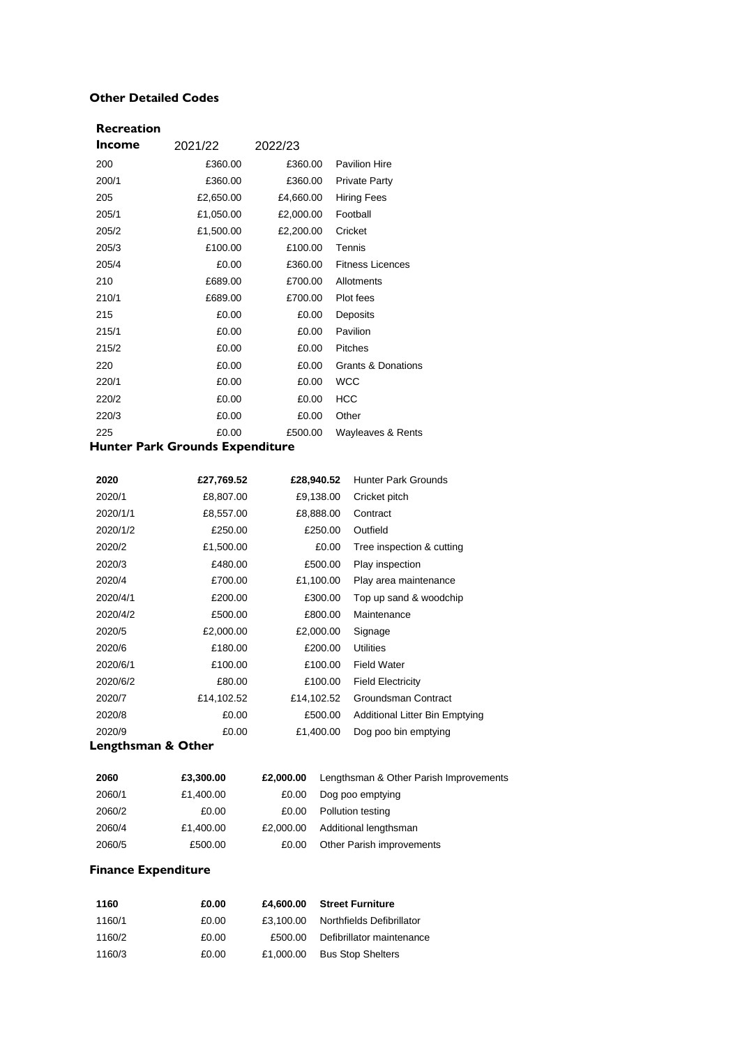#### **Other Detailed Codes**

| Recreation    |           |           |                               |
|---------------|-----------|-----------|-------------------------------|
| <b>Income</b> | 2021/22   | 2022/23   |                               |
| 200           | £360.00   | £360.00   | <b>Pavilion Hire</b>          |
| 200/1         | £360.00   | £360.00   | <b>Private Party</b>          |
| 205           | £2,650.00 | £4,660.00 | <b>Hiring Fees</b>            |
| 205/1         | £1,050.00 | £2,000.00 | Football                      |
| 205/2         | £1,500.00 | £2,200.00 | Cricket                       |
| 205/3         | £100.00   | £100.00   | Tennis                        |
| 205/4         | £0.00     | £360.00   | <b>Fitness Licences</b>       |
| 210           | £689.00   | £700.00   | Allotments                    |
| 210/1         | £689.00   | £700.00   | Plot fees                     |
| 215           | £0.00     | £0.00     | Deposits                      |
| 215/1         | £0.00     | £0.00     | Pavilion                      |
| 215/2         | £0.00     | £0.00     | <b>Pitches</b>                |
| 220           | £0.00     | £0.00     | <b>Grants &amp; Donations</b> |
| 220/1         | £0.00     | £0.00     | <b>WCC</b>                    |
| 220/2         | £0.00     | £0.00     | <b>HCC</b>                    |
| 220/3         | £0.00     | £0.00     | Other                         |
| 225           | £0.00     | £500.00   | Wayleaves & Rents             |

## **Hunter Park Grounds Expenditure**

| 2020     | £27,769.52 | £28,940.52 | <b>Hunter Park Grounds</b>            |
|----------|------------|------------|---------------------------------------|
| 2020/1   | £8,807.00  | £9,138.00  | Cricket pitch                         |
| 2020/1/1 | £8,557.00  | £8,888.00  | Contract                              |
| 2020/1/2 | £250.00    | £250.00    | Outfield                              |
| 2020/2   | £1,500.00  | £0.00      | Tree inspection & cutting             |
| 2020/3   | £480.00    | £500.00    | Play inspection                       |
| 2020/4   | £700.00    | £1,100.00  | Play area maintenance                 |
| 2020/4/1 | £200.00    | £300.00    | Top up sand & woodchip                |
| 2020/4/2 | £500.00    | £800.00    | Maintenance                           |
| 2020/5   | £2,000.00  | £2,000.00  | Signage                               |
| 2020/6   | £180.00    | £200.00    | <b>Utilities</b>                      |
| 2020/6/1 | £100.00    | £100.00    | <b>Field Water</b>                    |
| 2020/6/2 | £80.00     | £100.00    | <b>Field Electricity</b>              |
| 2020/7   | £14,102.52 | £14,102.52 | Groundsman Contract                   |
| 2020/8   | £0.00      | £500.00    | <b>Additional Litter Bin Emptying</b> |
| 2020/9   | £0.00      | £1,400.00  | Dog poo bin emptying                  |

## **Lengthsman & Other**

| 2060   | £3,300.00 | £2,000,00 | Lengthsman & Other Parish Improvements |
|--------|-----------|-----------|----------------------------------------|
| 2060/1 | £1,400.00 | £0.00     | Dog poo emptying                       |
| 2060/2 | £0.00     | £0.00     | Pollution testing                      |
| 2060/4 | £1,400.00 | £2,000.00 | Additional lengthsman                  |
| 2060/5 | £500.00   | £0.00     | Other Parish improvements              |

## **Finance Expenditure**

| 1160   | £0.00 | £4,600.00 | <b>Street Furniture</b>   |
|--------|-------|-----------|---------------------------|
| 1160/1 | £0.00 | £3.100.00 | Northfields Defibrillator |
| 1160/2 | £0.00 | £500.00   | Defibrillator maintenance |
| 1160/3 | £0.00 | £1.000.00 | <b>Bus Stop Shelters</b>  |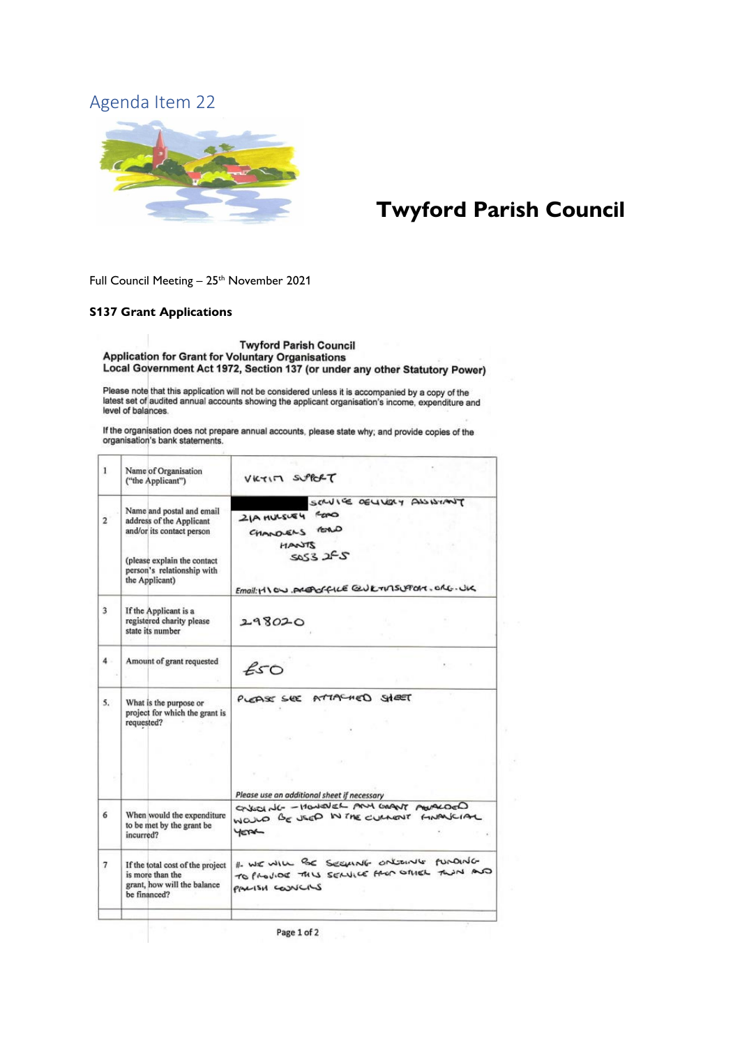<span id="page-26-0"></span>

# **Twyford Parish Council**

Full Council Meeting - 25<sup>th</sup> November 2021

#### **S137 Grant Applications**

**Twyford Parish Council** Application for Grant for Voluntary Organisations<br>Local Government Act 1972, Section 137 (or under any other Statutory Power)

Please note that this application will not be considered unless it is accompanied by a copy of the<br>latest set of audited annual accounts showing the applicant organisation's income, expenditure and level of balances.

If the organisation does not prepare annual accounts, please state why; and provide copies of the organisation's bank statements.

| 1              | Name of Organisation<br>("the Applicant")                                                                                                                         | VICTIM SUPPORT                                                                                                                 |
|----------------|-------------------------------------------------------------------------------------------------------------------------------------------------------------------|--------------------------------------------------------------------------------------------------------------------------------|
| $\overline{2}$ | Name and postal and email<br>address of the Applicant<br>and/or its contact person<br>(please explain the contact<br>person's relationship with<br>the Applicant) | SCAVIVE OELLIGHT ALSINANT<br>21A MULSUEY FORD<br>CHANDENS FORD<br>ZTUAN<br>5053255<br>Email: HIGO AREAGE QUETIMSUPORT. ORE. UK |
| $\overline{3}$ | If the Applicant is a<br>registered charity please<br>state its number                                                                                            | 298020                                                                                                                         |
| 4.             | Amount of grant requested                                                                                                                                         | ESO                                                                                                                            |
| 5.             | What is the purpose or<br>project for which the grant is<br>requested?                                                                                            | PLEASE SEE ATTACHED SHEET<br>Please use an additional sheet if necessary                                                       |
| 6              | When would the expenditure<br>to be met by the grant be<br>incurred?                                                                                              | GOVERN TURN MAR WANT AND HIS DUTIES<br>WOULD BE USED IN THE CULTURAT FINANCIAL<br><b>YETAL</b>                                 |
| 7              | If the total cost of the project<br>is more than the<br>grant, how will the balance<br>be financed?                                                               | I WE WILL BE SEEMNG ONLIGING FUNDING<br>TO PROVIDE THIS SERVICE FROM OTHER TWIN AND<br>PALISH COUNCILS                         |
|                |                                                                                                                                                                   |                                                                                                                                |

Page 1 of 2